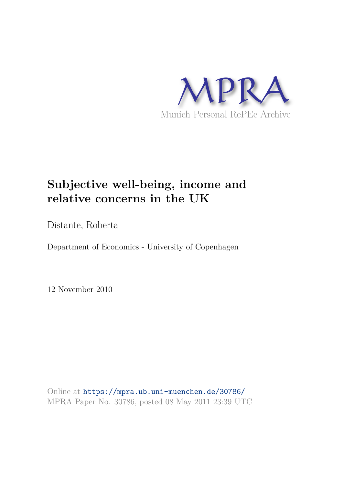

## **Subjective well-being, income and relative concerns in the UK**

Distante, Roberta

Department of Economics - University of Copenhagen

12 November 2010

Online at https://mpra.ub.uni-muenchen.de/30786/ MPRA Paper No. 30786, posted 08 May 2011 23:39 UTC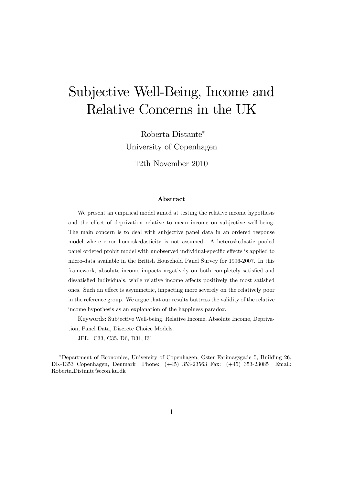# Subjective Well-Being, Income and Relative Concerns in the UK

Roberta Distante University of Copenhagen

12th November 2010

#### Abstract

We present an empirical model aimed at testing the relative income hypothesis and the effect of deprivation relative to mean income on subjective well-being. The main concern is to deal with subjective panel data in an ordered response model where error homoskedasticity is not assumed. A heteroskedastic pooled panel ordered probit model with unobserved individual-specific effects is applied to micro-data available in the British Household Panel Survey for 1996-2007. In this framework, absolute income impacts negatively on both completely satisfied and dissatisfied individuals, while relative income affects positively the most satisfied ones. Such an effect is asymmetric, impacting more severely on the relatively poor in the reference group. We argue that our results buttress the validity of the relative income hypothesis as an explanation of the happiness paradox.

Keywords: Subjective Well-being, Relative Income, Absolute Income, Deprivation, Panel Data, Discrete Choice Models.

JEL: C33, C35, D6, D31, I31

<sup>\*</sup>Department of Economics, University of Copenhagen, Øster Farimagsgade 5, Building 26, DK-1353 Copenhagen, Denmark Phone: (+45) 353-23563 Fax: (+45) 353-23085 Email: Roberta.Distante@econ.ku.dk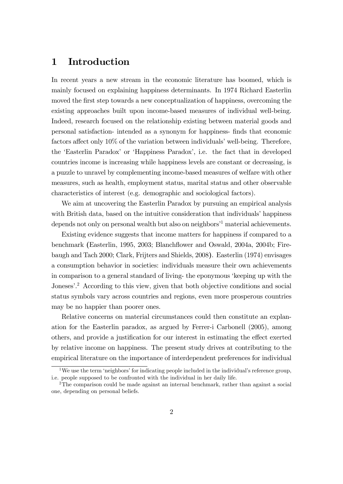## 1 Introduction

In recent years a new stream in the economic literature has boomed, which is mainly focused on explaining happiness determinants. In 1974 Richard Easterlin moved the first step towards a new conceptualization of happiness, overcoming the existing approaches built upon income-based measures of individual well-being. Indeed, research focused on the relationship existing between material goods and personal satisfaction- intended as a synonym for happiness- Önds that economic factors affect only  $10\%$  of the variation between individuals' well-being. Therefore, the 'Easterlin Paradox' or 'Happiness Paradox', i.e. the fact that in developed countries income is increasing while happiness levels are constant or decreasing, is a puzzle to unravel by complementing income-based measures of welfare with other measures, such as health, employment status, marital status and other observable characteristics of interest (e.g. demographic and sociological factors).

We aim at uncovering the Easterlin Paradox by pursuing an empirical analysis with British data, based on the intuitive consideration that individuals' happiness depends not only on personal wealth but also on neighbors<sup> $1$ </sup> material achievements.

Existing evidence suggests that income matters for happiness if compared to a benchmark (Easterlin, 1995, 2003; Blancháower and Oswald, 2004a, 2004b; Firebaugh and Tach 2000; Clark, Frijters and Shields, 2008). Easterlin (1974) envisages a consumption behavior in societies: individuals measure their own achievements in comparison to a general standard of living- the eponymous ëkeeping up with the Joneses<sup>'.2</sup> According to this view, given that both objective conditions and social status symbols vary across countries and regions, even more prosperous countries may be no happier than poorer ones.

Relative concerns on material circumstances could then constitute an explanation for the Easterlin paradox, as argued by Ferrer-i Carbonell (2005), among others, and provide a justification for our interest in estimating the effect exerted by relative income on happiness. The present study drives at contributing to the empirical literature on the importance of interdependent preferences for individual

<sup>&</sup>lt;sup>1</sup>We use the term 'neighbors' for indicating people included in the individual's reference group, i.e. people supposed to be confronted with the individual in her daily life.

<sup>2</sup>The comparison could be made against an internal benchmark, rather than against a social one, depending on personal beliefs.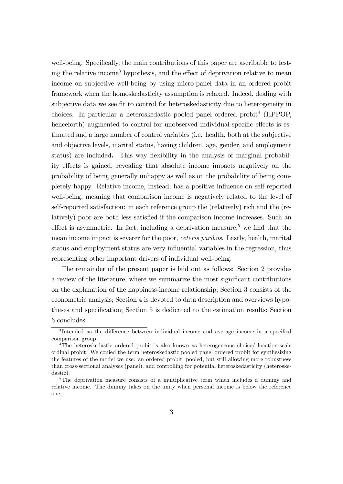well-being. Specifically, the main contributions of this paper are ascribable to testing the relative income<sup>3</sup> hypothesis, and the effect of deprivation relative to mean income on subjective well-being by using micro-panel data in an ordered probit framework when the homoskedasticity assumption is relaxed. Indeed, dealing with subjective data we see fit to control for heteroskedasticity due to heterogeneity in choices. In particular a heteroskedastic pooled panel ordered probit<sup>4</sup> (HPPOP, henceforth) augmented to control for unobserved individual-specific effects is estimated and a large number of control variables (i.e. health, both at the subjective and objective levels, marital status, having children, age, gender, and employment status) are included. This way flexibility in the analysis of marginal probability effects is gained, revealing that absolute income impacts negatively on the probability of being generally unhappy as well as on the probability of being completely happy. Relative income, instead, has a positive ináuence on self-reported well-being, meaning that comparison income is negatively related to the level of self-reported satisfaction: in each reference group the (relatively) rich and the (relatively) poor are both less satisfied if the comparison income increases. Such an effect is asymmetric. In fact, including a deprivation measure,<sup>5</sup> we find that the mean income impact is severer for the poor, ceteris paribus. Lastly, health, marital status and employment status are very influential variables in the regression, thus representing other important drivers of individual well-being.

The remainder of the present paper is laid out as follows: Section 2 provides a review of the literature, where we summarize the most significant contributions on the explanation of the happiness-income relationship; Section 3 consists of the econometric analysis; Section 4 is devoted to data description and overviews hypotheses and specification; Section 5 is dedicated to the estimation results; Section 6 concludes.

<sup>&</sup>lt;sup>3</sup>Intended as the difference between individual income and average income in a specified comparison group.

<sup>4</sup>The heteroskedastic ordered probit is also known as heterogeneous choice/ location-scale ordinal probit. We conied the term heteroskedastic pooled panel ordered probit for synthesizing the features of the model we use: an ordered probit, pooled, but still allowing more robustness than cross-sectional analyses (panel), and controlling for potential heteroskedasticity (heteroskedastic).

<sup>&</sup>lt;sup>5</sup>The deprivation measure consists of a multiplicative term which includes a dummy and relative income. The dummy takes on the unity when personal income is below the reference one.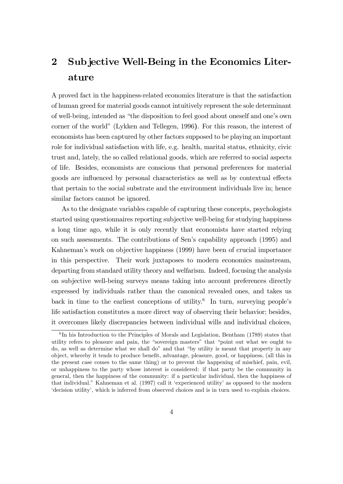## 2 Subjective Well-Being in the Economics Literature

A proved fact in the happiness-related economics literature is that the satisfaction of human greed for material goods cannot intuitively represent the sole determinant of well-being, intended as "the disposition to feel good about oneself and one's own corner of the worldî (Lykken and Tellegen, 1996). For this reason, the interest of economists has been captured by other factors supposed to be playing an important role for individual satisfaction with life, e.g. health, marital status, ethnicity, civic trust and, lately, the so called relational goods, which are referred to social aspects of life. Besides, economists are conscious that personal preferences for material goods are influenced by personal characteristics as well as by contextual effects that pertain to the social substrate and the environment individuals live in; hence similar factors cannot be ignored.

As to the designate variables capable of capturing these concepts, psychologists started using questionnaires reporting subjective well-being for studying happiness a long time ago, while it is only recently that economists have started relying on such assessments. The contributions of Senís capability approach (1995) and Kahnemanís work on objective happiness (1999) have been of crucial importance in this perspective. Their work juxtaposes to modern economics mainstream, departing from standard utility theory and welfarism. Indeed, focusing the analysis on subjective well-being surveys means taking into account preferences directly expressed by individuals rather than the canonical revealed ones, and takes us back in time to the earliest conceptions of utility.<sup>6</sup> In turn, surveying people's life satisfaction constitutes a more direct way of observing their behavior; besides, it overcomes likely discrepancies between individual wills and individual choices,

<sup>&</sup>lt;sup>6</sup>In his Introduction to the Principles of Morals and Legislation, Bentham (1789) states that utility refers to pleasure and pain, the "sovereign masters" that "point out what we ought to do, as well as determine what we shall do" and that "by utility is meant that property in any object, whereby it tends to produce benefit, advantage, pleasure, good, or happiness, (all this in the present case comes to the same thing) or to prevent the happening of mischief, pain, evil, or unhappiness to the party whose interest is considered: if that party be the community in general, then the happiness of the community: if a particular individual, then the happiness of that individual." Kahneman et al. (1997) call it 'experienced utility' as opposed to the modern ëdecision utilityí, which is inferred from observed choices and is in turn used to explain choices.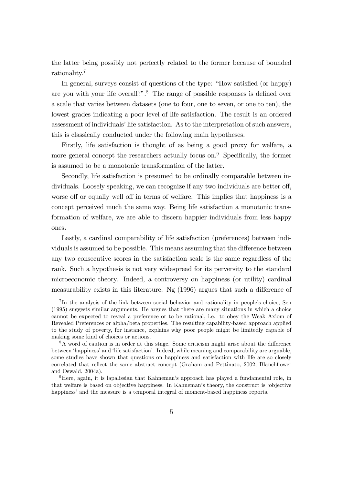the latter being possibly not perfectly related to the former because of bounded rationality.<sup>7</sup>

In general, surveys consist of questions of the type: "How satisfied (or happy) are you with your life overall?".<sup>8</sup> The range of possible responses is defined over a scale that varies between datasets (one to four, one to seven, or one to ten), the lowest grades indicating a poor level of life satisfaction. The result is an ordered assessment of individuals' life satisfaction. As to the interpretation of such answers, this is classically conducted under the following main hypotheses.

Firstly, life satisfaction is thought of as being a good proxy for welfare, a more general concept the researchers actually focus on.<sup>9</sup> Specifically, the former is assumed to be a monotonic transformation of the latter.

Secondly, life satisfaction is presumed to be ordinally comparable between individuals. Loosely speaking, we can recognize if any two individuals are better off, worse off or equally well off in terms of welfare. This implies that happiness is a concept perceived much the same way. Being life satisfaction a monotonic transformation of welfare, we are able to discern happier individuals from less happy ones.

Lastly, a cardinal comparability of life satisfaction (preferences) between individuals is assumed to be possible. This means assuming that the difference between any two consecutive scores in the satisfaction scale is the same regardless of the rank. Such a hypothesis is not very widespread for its perversity to the standard microeconomic theory. Indeed, a controversy on happiness (or utility) cardinal measurability exists in this literature. Ng  $(1996)$  argues that such a difference of

<sup>&</sup>lt;sup>7</sup>In the analysis of the link between social behavior and rationality in people's choice, Sen (1995) suggests similar arguments. He argues that there are many situations in which a choice cannot be expected to reveal a preference or to be rational, i.e. to obey the Weak Axiom of Revealed Preferences or alpha/beta properties. The resulting capability-based approach applied to the study of poverty, for instance, explains why poor people might be limitedly capable of making some kind of choices or actions.

 $8A$  word of caution is in order at this stage. Some criticism might arise about the difference between 'happiness' and 'life satisfaction'. Indeed, while meaning and comparability are arguable, some studies have shown that questions on happiness and satisfaction with life are so closely correlated that reflect the same abstract concept (Graham and Pettinato, 2002; Blanchflower and Oswald, 2004a).

<sup>&</sup>lt;sup>9</sup>Here, again, it is lapalissian that Kahneman's approach has played a fundamental role, in that welfare is based on objective happiness. In Kahnemanís theory, the construct is ëobjective happiness' and the measure is a temporal integral of moment-based happiness reports.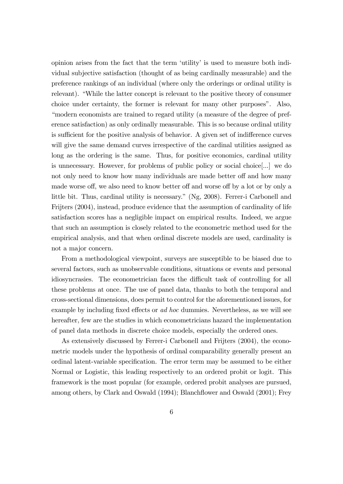opinion arises from the fact that the term ëutilityí is used to measure both individual subjective satisfaction (thought of as being cardinally measurable) and the preference rankings of an individual (where only the orderings or ordinal utility is relevant). "While the latter concept is relevant to the positive theory of consumer choice under certainty, the former is relevant for many other purposesî. Also, ìmodern economists are trained to regard utility (a measure of the degree of preference satisfaction) as only ordinally measurable. This is so because ordinal utility is sufficient for the positive analysis of behavior. A given set of indifference curves will give the same demand curves irrespective of the cardinal utilities assigned as long as the ordering is the same. Thus, for positive economics, cardinal utility is unnecessary. However, for problems of public policy or social choice[...] we do not only need to know how many individuals are made better off and how many made worse off, we also need to know better off and worse off by a lot or by only a little bit. Thus, cardinal utility is necessary." (Ng, 2008). Ferrer-i Carbonell and Frijters (2004), instead, produce evidence that the assumption of cardinality of life satisfaction scores has a negligible impact on empirical results. Indeed, we argue that such an assumption is closely related to the econometric method used for the empirical analysis, and that when ordinal discrete models are used, cardinality is not a major concern.

From a methodological viewpoint, surveys are susceptible to be biased due to several factors, such as unobservable conditions, situations or events and personal idiosyncrasies. The econometrician faces the difficult task of controlling for all these problems at once. The use of panel data, thanks to both the temporal and cross-sectional dimensions, does permit to control for the aforementioned issues, for example by including fixed effects or  $ad$  hoc dummies. Nevertheless, as we will see hereafter, few are the studies in which econometricians hazard the implementation of panel data methods in discrete choice models, especially the ordered ones.

As extensively discussed by Ferrer-i Carbonell and Frijters (2004), the econometric models under the hypothesis of ordinal comparability generally present an ordinal latent-variable speciÖcation. The error term may be assumed to be either Normal or Logistic, this leading respectively to an ordered probit or logit. This framework is the most popular (for example, ordered probit analyses are pursued, among others, by Clark and Oswald (1994); Blanchflower and Oswald (2001); Frey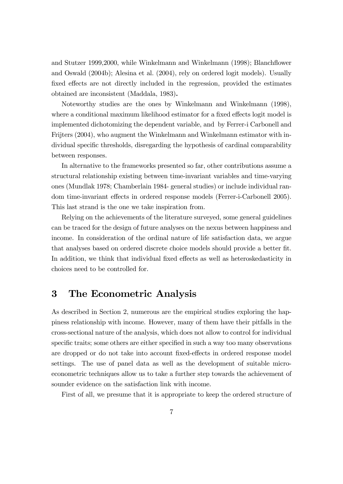and Stutzer 1999, 2000, while Winkelmann and Winkelmann (1998); Blanchflower and Oswald (2004b); Alesina et al. (2004), rely on ordered logit models). Usually fixed effects are not directly included in the regression, provided the estimates obtained are inconsistent (Maddala, 1983).

Noteworthy studies are the ones by Winkelmann and Winkelmann (1998), where a conditional maximum likelihood estimator for a fixed effects logit model is implemented dichotomizing the dependent variable, and by Ferrer-i Carbonell and Frijters (2004), who augment the Winkelmann and Winkelmann estimator with individual specific thresholds, disregarding the hypothesis of cardinal comparability between responses.

In alternative to the frameworks presented so far, other contributions assume a structural relationship existing between time-invariant variables and time-varying ones (Mundlak 1978; Chamberlain 1984- general studies) or include individual random time-invariant effects in ordered response models (Ferrer-i-Carbonell 2005). This last strand is the one we take inspiration from.

Relying on the achievements of the literature surveyed, some general guidelines can be traced for the design of future analyses on the nexus between happiness and income. In consideration of the ordinal nature of life satisfaction data, we argue that analyses based on ordered discrete choice models should provide a better fit. In addition, we think that individual fixed effects as well as heteroskedasticity in choices need to be controlled for.

### 3 The Econometric Analysis

As described in Section 2, numerous are the empirical studies exploring the happiness relationship with income. However, many of them have their pitfalls in the cross-sectional nature of the analysis, which does not allow to control for individual specific traits; some others are either specified in such a way too many observations are dropped or do not take into account fixed-effects in ordered response model settings. The use of panel data as well as the development of suitable microeconometric techniques allow us to take a further step towards the achievement of sounder evidence on the satisfaction link with income.

First of all, we presume that it is appropriate to keep the ordered structure of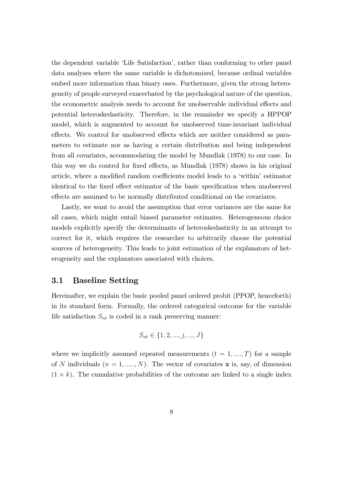the dependent variable 'Life Satisfaction', rather than conforming to other panel data analyses where the same variable is dichotomized, because ordinal variables embed more information than binary ones. Furthermore, given the strong heterogeneity of people surveyed exacerbated by the psychological nature of the question, the econometric analysis needs to account for unobservable individual effects and potential heteroskedasticity. Therefore, in the remainder we specify a HPPOP model, which is augmented to account for unobserved time-invariant individual effects. We control for unobserved effects which are neither considered as parameters to estimate nor as having a certain distribution and being independent from all covariates, accommodating the model by Mundlak (1978) to our case. In this way we do control for fixed effects, as Mundlak (1978) shows in his original article, where a modified random coefficients model leads to a 'within' estimator identical to the fixed effect estimator of the basic specification when unobserved effects are assumed to be normally distributed conditional on the covariates.

Lastly, we want to avoid the assumption that error variances are the same for all cases, which might entail biased parameter estimates. Heterogeneous choice models explicitly specify the determinants of heteroskedasticity in an attempt to correct for it, which requires the researcher to arbitrarily choose the potential sources of heterogeneity. This leads to joint estimation of the explanators of heterogeneity and the explanators associated with choices.

#### 3.1 Baseline Setting

Hereinafter, we explain the basic pooled panel ordered probit (PPOP, henceforth) in its standard form. Formally, the ordered categorical outcome for the variable life satisfaction  $S_{nt}$  is coded in a rank preserving manner:

$$
S_{nt} \in \{1, 2, ..., j, ..., J\}
$$

where we implicitly assumed repeated measurements  $(t = 1, ..., T)$  for a sample of N individuals  $(n = 1, \ldots, N)$ . The vector of covariates **x** is, say, of dimension  $(1 \times k)$ . The cumulative probabilities of the outcome are linked to a single index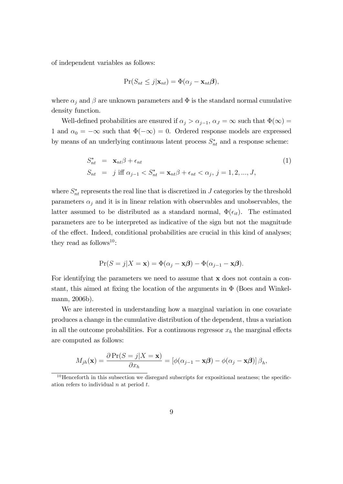of independent variables as follows:

$$
\Pr(S_{nt} \le j|\mathbf{x}_{nt}) = \Phi(\alpha_j - \mathbf{x}_{nt}\boldsymbol{\beta}),
$$

where  $\alpha_j$  and  $\beta$  are unknown parameters and  $\Phi$  is the standard normal cumulative density function.

Well-defined probabilities are ensured if  $\alpha_j > \alpha_{j-1}, \alpha_j = \infty$  such that  $\Phi(\infty) =$ 1 and  $\alpha_0 = -\infty$  such that  $\Phi(-\infty) = 0$ . Ordered response models are expressed by means of an underlying continuous latent process  $S_{nt}^*$  and a response scheme:

$$
S_{nt}^{*} = \mathbf{x}_{nt}\beta + \epsilon_{nt}
$$
  
\n
$$
S_{nt} = j \text{ iff } \alpha_{j-1} < S_{nt}^{*} = \mathbf{x}_{nt}\beta + \epsilon_{nt} < \alpha_{j}, j = 1, 2, \dots, J,
$$
\n
$$
(1)
$$

where  $S_{nt}^*$  represents the real line that is discretized in J categories by the threshold parameters  $\alpha_j$  and it is in linear relation with observables and unobservables, the latter assumed to be distributed as a standard normal,  $\Phi(\epsilon_{it})$ . The estimated parameters are to be interpreted as indicative of the sign but not the magnitude of the effect. Indeed, conditional probabilities are crucial in this kind of analyses; they read as follows<sup>10</sup>:

$$
\Pr(S = j | X = \mathbf{x}) = \Phi(\alpha_j - \mathbf{x}\boldsymbol{\beta}) - \Phi(\alpha_{j-1} - \mathbf{x}\boldsymbol{\beta}).
$$

For identifying the parameters we need to assume that  $x$  does not contain a constant, this aimed at fixing the location of the arguments in  $\Phi$  (Boes and Winkelmann, 2006b).

We are interested in understanding how a marginal variation in one covariate produces a change in the cumulative distribution of the dependent, thus a variation in all the outcome probabilities. For a continuous regressor  $x<sub>h</sub>$  the marginal effects are computed as follows:

$$
M_{jh}(\mathbf{x}) = \frac{\partial \Pr(S=j|X=\mathbf{x})}{\partial x_h} = \left[\phi(\alpha_{j-1} - \mathbf{x}\boldsymbol{\beta}) - \phi(\alpha_j - \mathbf{x}\boldsymbol{\beta})\right]\beta_h,
$$

 $10$ Henceforth in this subsection we disregard subscripts for expositional neatness; the specification refers to individual  $n$  at period  $t$ .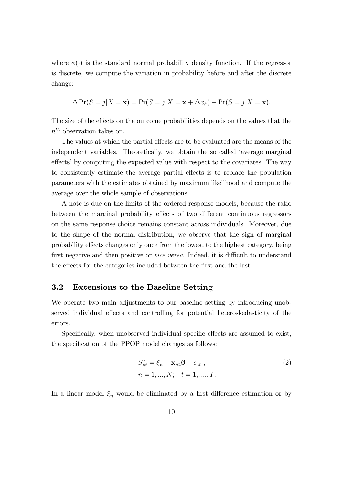where  $\phi(\cdot)$  is the standard normal probability density function. If the regressor is discrete, we compute the variation in probability before and after the discrete change:

$$
\Delta \Pr(S = j | X = \mathbf{x}) = \Pr(S = j | X = \mathbf{x} + \Delta x_h) - \Pr(S = j | X = \mathbf{x}).
$$

The size of the effects on the outcome probabilities depends on the values that the  $n^{th}$  observation takes on.

The values at which the partial effects are to be evaluated are the means of the independent variables. Theoretically, we obtain the so called ëaverage marginal effects' by computing the expected value with respect to the covariates. The way to consistently estimate the average partial effects is to replace the population parameters with the estimates obtained by maximum likelihood and compute the average over the whole sample of observations.

A note is due on the limits of the ordered response models, because the ratio between the marginal probability effects of two different continuous regressors on the same response choice remains constant across individuals. Moreover, due to the shape of the normal distribution, we observe that the sign of marginal probability effects changes only once from the lowest to the highest category, being first negative and then positive or *vice versa*. Indeed, it is difficult to understand the effects for the categories included between the first and the last.

#### 3.2 Extensions to the Baseline Setting

We operate two main adjustments to our baseline setting by introducing unobserved individual effects and controlling for potential heteroskedasticity of the errors.

Specifically, when unobserved individual specific effects are assumed to exist, the specification of the PPOP model changes as follows:

$$
S_{nt}^{*} = \xi_{n} + \mathbf{x}_{nt}\boldsymbol{\beta} + \epsilon_{nt} ,
$$
  
\n
$$
n = 1, ..., N; \quad t = 1, ..., T.
$$
 (2)

In a linear model  $\xi_n$  would be eliminated by a first difference estimation or by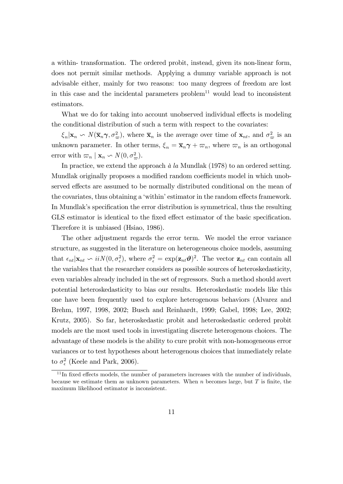a within- transformation. The ordered probit, instead, given its non-linear form, does not permit similar methods. Applying a dummy variable approach is not advisable either, mainly for two reasons: too many degrees of freedom are lost in this case and the incidental parameters  $problem<sup>11</sup>$  would lead to inconsistent estimators.

What we do for taking into account unobserved individual effects is modeling the conditional distribution of such a term with respect to the covariates:

 $\xi_n | \mathbf{x}_n \backsim N(\overline{\mathbf{x}}_n \gamma, \sigma_{\overline{\omega}}^2)$ , where  $\overline{\mathbf{x}}_n$  is the average over time of  $\mathbf{x}_{nt}$ , and  $\sigma_{\overline{\omega}}^2$  is an unknown parameter. In other terms,  $\xi_n = \overline{\mathbf{x}}_n \gamma + \overline{\omega}_n$ , where  $\overline{\omega}_n$  is an orthogonal error with  $\varpi_n \mid \mathbf{x}_n \backsim N(0, \sigma_{\varpi}^2)$ .

In practice, we extend the approach  $\dot{a}$  la Mundlak (1978) to an ordered setting. Mundlak originally proposes a modified random coefficients model in which unobserved effects are assumed to be normally distributed conditional on the mean of the covariates, thus obtaining a 'within' estimator in the random effects framework. In Mundlak's specification the error distribution is symmetrical, thus the resulting GLS estimator is identical to the fixed effect estimator of the basic specification. Therefore it is unbiased (Hsiao, 1986).

The other adjustment regards the error term. We model the error variance structure, as suggested in the literature on heterogeneous choice models, assuming that  $\epsilon_{nt}|\mathbf{x}_{nt} \backsim i i N(0, \sigma_{\epsilon}^2)$ , where  $\sigma_{\epsilon}^2 = \exp(\mathbf{z}_{nt} \boldsymbol{\vartheta})^2$ . The vector  $\mathbf{z}_{nt}$  can contain all the variables that the researcher considers as possible sources of heteroskedasticity, even variables already included in the set of regressors. Such a method should avert potential heteroskedasticity to bias our results. Heteroskedastic models like this one have been frequently used to explore heterogenous behaviors (Alvarez and Brehm, 1997, 1998, 2002; Busch and Reinhardt, 1999; Gabel, 1998; Lee, 2002; Krutz, 2005). So far, heteroskedastic probit and heteroskedastic ordered probit models are the most used tools in investigating discrete heterogenous choices. The advantage of these models is the ability to cure probit with non-homogeneous error variances or to test hypotheses about heterogenous choices that immediately relate to  $\sigma_{\epsilon}^2$  (Keele and Park, 2006).

 $11$ In fixed effects models, the number of parameters increases with the number of individuals, because we estimate them as unknown parameters. When  $n$  becomes large, but  $T$  is finite, the maximum likelihood estimator is inconsistent.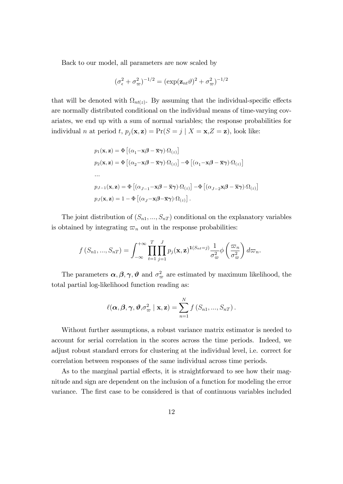Back to our model, all parameters are now scaled by

$$
(\sigma_\epsilon^2+\sigma_\varpi^2)^{-1/2}=(\exp({\bf z}_{nt}\vartheta)^2+\sigma_\varpi^2)^{-1/2}
$$

that will be denoted with  $\Omega_{nt(z)}$ . By assuming that the individual-specific effects are normally distributed conditional on the individual means of time-varying covariates, we end up with a sum of normal variables; the response probabilities for individual n at period t,  $p_j(\mathbf{x}, \mathbf{z}) = \Pr(S = j | X = \mathbf{x}, Z = \mathbf{z})$ , look like:

$$
p_1(\mathbf{x}, \mathbf{z}) = \Phi \left[ (\alpha_1 - \mathbf{x}\boldsymbol{\beta} - \overline{\mathbf{x}}\boldsymbol{\gamma}) \cdot \Omega_{(z)} \right]
$$
  
\n
$$
p_2(\mathbf{x}, \mathbf{z}) = \Phi \left[ (\alpha_2 - \mathbf{x}\boldsymbol{\beta} - \overline{\mathbf{x}}\boldsymbol{\gamma}) \cdot \Omega_{(z)} \right] - \Phi \left[ (\alpha_1 - \mathbf{x}\boldsymbol{\beta} - \overline{\mathbf{x}}\boldsymbol{\gamma}) \cdot \Omega_{(z)} \right]
$$
  
\n...  
\n
$$
p_{J-1}(\mathbf{x}, \mathbf{z}) = \Phi \left[ (\alpha_{J-1} - \mathbf{x}\boldsymbol{\beta} - \overline{\mathbf{x}}\boldsymbol{\gamma}) \cdot \Omega_{(z)} \right] - \Phi \left[ (\alpha_{J-2}\mathbf{x}\boldsymbol{\beta} - \overline{\mathbf{x}}\boldsymbol{\gamma}) \cdot \Omega_{(z)} \right]
$$
  
\n
$$
p_J(\mathbf{x}, \mathbf{z}) = 1 - \Phi \left[ (\alpha_J - \mathbf{x}\boldsymbol{\beta} - \overline{\mathbf{x}}\boldsymbol{\gamma}) \cdot \Omega_{(z)} \right].
$$

The joint distribution of  $(S_{n1},...,S_{nT})$  conditional on the explanatory variables is obtained by integrating  $\varpi_n$  out in the response probabilities:

$$
f(S_{n1},...,S_{nT})=\int_{-\infty}^{+\infty}\prod_{t=1}^T\prod_{j=1}^Jp_j(\mathbf{x},\mathbf{z})^{\mathbf{1}(S_{nt}=j)}\frac{1}{\sigma_{\varpi}^2}\phi\left(\frac{\varpi_n}{\sigma_{\varpi}^2}\right)d\varpi_n.
$$

The parameters  $\alpha, \beta, \gamma, \vartheta$  and  $\sigma_{\varpi}^2$  are estimated by maximum likelihood, the total partial log-likelihood function reading as:

$$
\ell(\boldsymbol{\alpha},\boldsymbol{\beta},\boldsymbol{\gamma},\boldsymbol{\vartheta},\sigma_{\varpi}^2\mid\mathbf{x},\mathbf{z})=\sum_{n=1}^N f(S_{n1},...,S_{nT}).
$$

Without further assumptions, a robust variance matrix estimator is needed to account for serial correlation in the scores across the time periods. Indeed, we adjust robust standard errors for clustering at the individual level, i.e. correct for correlation between responses of the same individual across time periods.

As to the marginal partial effects, it is straightforward to see how their magnitude and sign are dependent on the inclusion of a function for modeling the error variance. The first case to be considered is that of continuous variables included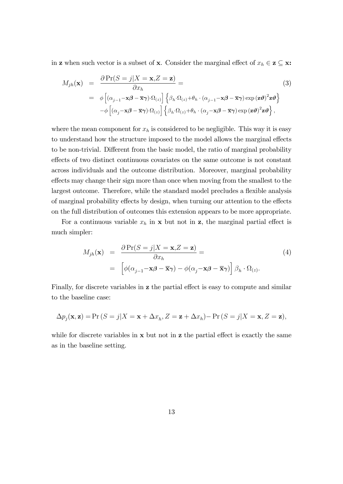in **z** when such vector is a subset of **x**. Consider the marginal effect of  $x_h \in \mathbf{z} \subseteq \mathbf{x}$ :

$$
M_{jh}(\mathbf{x}) = \frac{\partial \Pr(S=j|X=\mathbf{x},Z=\mathbf{z})}{\partial x_h} = \phi \left[ (\alpha_{j-1} - \mathbf{x}\beta - \overline{\mathbf{x}}\gamma) \cdot \Omega_{(z)} \right] \left\{ \beta_h \cdot \Omega_{(z)} + \theta_h \cdot (\alpha_{j-1} - \mathbf{x}\beta - \overline{\mathbf{x}}\gamma) \exp(\mathbf{z}\vartheta)^2 \mathbf{z}\vartheta \right\} - \phi \left[ (\alpha_j - \mathbf{x}\beta - \overline{\mathbf{x}}\gamma) \cdot \Omega_{(z)} \right] \left\{ \beta_h \cdot \Omega_{(z)} + \theta_h \cdot (\alpha_j - \mathbf{x}\beta - \overline{\mathbf{x}}\gamma) \exp(\mathbf{z}\vartheta)^2 \mathbf{z}\vartheta \right\},
$$
(3)

where the mean component for  $x_h$  is considered to be negligible. This way it is easy to understand how the structure imposed to the model allows the marginal effects to be non-trivial. Different from the basic model, the ratio of marginal probability effects of two distinct continuous covariates on the same outcome is not constant across individuals and the outcome distribution. Moreover, marginal probability effects may change their sign more than once when moving from the smallest to the largest outcome. Therefore, while the standard model precludes a flexible analysis of marginal probability effects by design, when turning our attention to the effects on the full distribution of outcomes this extension appears to be more appropriate.

For a continuous variable  $x_h$  in **x** but not in **z**, the marginal partial effect is much simpler:

$$
M_{jh}(\mathbf{x}) = \frac{\partial \Pr(S=j|X=\mathbf{x},Z=\mathbf{z})}{\partial x_h} = \left[\phi(\alpha_{j-1}-\mathbf{x}\beta-\overline{\mathbf{x}}\gamma) - \phi(\alpha_j-\mathbf{x}\beta-\overline{\mathbf{x}}\gamma)\right]\beta_h \cdot \Omega_{(z)}.
$$
\n(4)

Finally, for discrete variables in  $z$  the partial effect is easy to compute and similar to the baseline case:

$$
\Delta p_j(\mathbf{x}, \mathbf{z}) = \Pr(S = j | X = \mathbf{x} + \Delta x_h, Z = \mathbf{z} + \Delta x_h) - \Pr(S = j | X = \mathbf{x}, Z = \mathbf{z}),
$$

while for discrete variables in  $x$  but not in  $z$  the partial effect is exactly the same as in the baseline setting.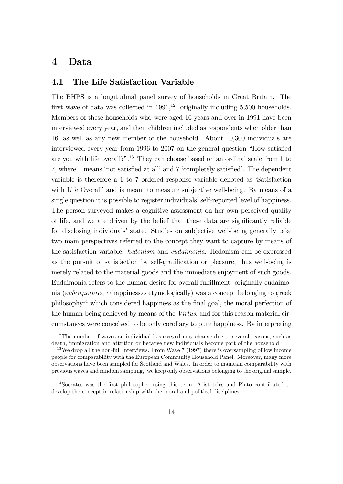### 4 Data

#### 4.1 The Life Satisfaction Variable

The BHPS is a longitudinal panel survey of households in Great Britain. The first wave of data was collected in  $1991<sup>12</sup>$ , originally including 5,500 households. Members of these households who were aged 16 years and over in 1991 have been interviewed every year, and their children included as respondents when older than 16, as well as any new member of the household. About 10,300 individuals are interviewed every year from 1996 to 2007 on the general question "How satisfied are you with life overall?".<sup>13</sup> They can choose based on an ordinal scale from 1 to 7, where 1 means 'not satisfied at all' and 7 'completely satisfied'. The dependent variable is therefore a 1 to 7 ordered response variable denoted as 'Satisfaction with Life Overall' and is meant to measure subjective well-being. By means of a single question it is possible to register individuals' self-reported level of happiness. The person surveyed makes a cognitive assessment on her own perceived quality of life, and we are driven by the belief that these data are significantly reliable for disclosing individuals' state. Studies on subjective well-being generally take two main perspectives referred to the concept they want to capture by means of the satisfaction variable: hedonism and eudaimonia. Hedonism can be expressed as the pursuit of satisfaction by self-gratification or pleasure, thus well-being is merely related to the material goods and the immediate enjoyment of such goods. Eudaimonia refers to the human desire for overall fulfillment- originally eudaimonia ( $\epsilon v \delta \alpha \mu \omega \nu \alpha$ ,  $\langle \epsilon \rangle$  happiness $\langle \epsilon \rangle$  etymologically) was a concept belonging to greek philosophy<sup>14</sup> which considered happiness as the final goal, the moral perfection of the human-being achieved by means of the Virtus, and for this reason material circumstances were conceived to be only corollary to pure happiness. By interpreting

 $12$ The number of waves an individual is surveyed may change due to several reasons, such as death, immigration and attrition or because new individuals become part of the household.

<sup>&</sup>lt;sup>13</sup>We drop all the non-full interviews. From Wave  $7(1997)$  there is oversampling of low income people for comparability with the European Community Household Panel. Moreover, many more observations have been sampled for Scotland and Wales. In order to maintain comparability with previous waves and random sampling, we keep only observations belonging to the original sample.

<sup>&</sup>lt;sup>14</sup>Socrates was the first philosopher using this term; Aristoteles and Plato contributed to develop the concept in relationship with the moral and political disciplines.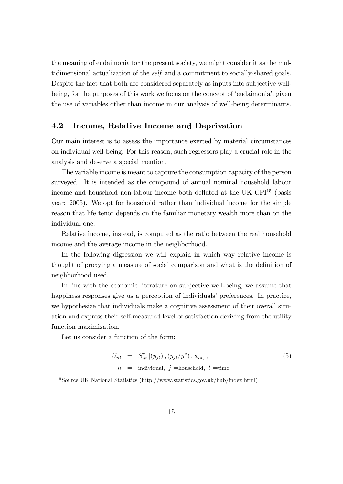the meaning of eudaimonia for the present society, we might consider it as the multidimensional actualization of the self and a commitment to socially-shared goals. Despite the fact that both are considered separately as inputs into subjective wellbeing, for the purposes of this work we focus on the concept of 'eudaimonia', given the use of variables other than income in our analysis of well-being determinants.

#### 4.2 Income, Relative Income and Deprivation

Our main interest is to assess the importance exerted by material circumstances on individual well-being. For this reason, such regressors play a crucial role in the analysis and deserve a special mention.

The variable income is meant to capture the consumption capacity of the person surveyed. It is intended as the compound of annual nominal household labour income and household non-labour income both deflated at the UK CPI<sup>15</sup> (basis year: 2005). We opt for household rather than individual income for the simple reason that life tenor depends on the familiar monetary wealth more than on the individual one.

Relative income, instead, is computed as the ratio between the real household income and the average income in the neighborhood.

In the following digression we will explain in which way relative income is thought of proxying a measure of social comparison and what is the definition of neighborhood used.

In line with the economic literature on subjective well-being, we assume that happiness responses give us a perception of individuals' preferences. In practice, we hypothesize that individuals make a cognitive assessment of their overall situation and express their self-measured level of satisfaction deriving from the utility function maximization.

Let us consider a function of the form:

$$
U_{nt} = S_{nt}^{*} [(y_{jt}), (y_{jt}/y^{*}), \mathbf{x}_{nt}],
$$
  
\n
$$
n = individual, j = household, t = time.
$$
 (5)

<sup>15</sup>Source UK National Statistics (http://www.statistics.gov.uk/hub/index.html)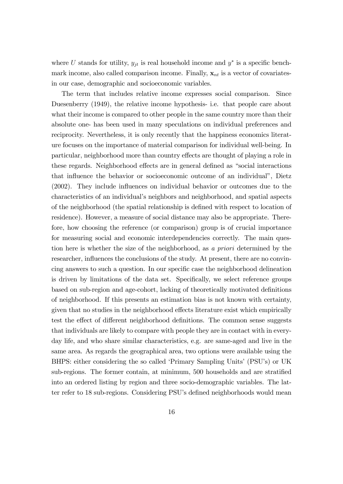where U stands for utility,  $y_{jt}$  is real household income and  $y^*$  is a specific benchmark income, also called comparison income. Finally,  $x_{nt}$  is a vector of covariatesin our case, demographic and socioeconomic variables.

The term that includes relative income expresses social comparison. Since Duesenberry (1949), the relative income hypothesis- i.e. that people care about what their income is compared to other people in the same country more than their absolute one- has been used in many speculations on individual preferences and reciprocity. Nevertheless, it is only recently that the happiness economics literature focuses on the importance of material comparison for individual well-being. In particular, neighborhood more than country effects are thought of playing a role in these regards. Neighborhood effects are in general defined as "social interactions that influence the behavior or socioeconomic outcome of an individual", Dietz (2002). They include influences on individual behavior or outcomes due to the characteristics of an individualís neighbors and neighborhood, and spatial aspects of the neighborhood (the spatial relationship is defined with respect to location of residence). However, a measure of social distance may also be appropriate. Therefore, how choosing the reference (or comparison) group is of crucial importance for measuring social and economic interdependencies correctly. The main question here is whether the size of the neighborhood, as a priori determined by the researcher, influences the conclusions of the study. At present, there are no convincing answers to such a question. In our specific case the neighborhood delineation is driven by limitations of the data set. Specifically, we select reference groups based on sub-region and age-cohort, lacking of theoretically motivated definitions of neighborhood. If this presents an estimation bias is not known with certainty, given that no studies in the neighborhood effects literature exist which empirically test the effect of different neighborhood definitions. The common sense suggests that individuals are likely to compare with people they are in contact with in everyday life, and who share similar characteristics, e.g. are same-aged and live in the same area. As regards the geographical area, two options were available using the BHPS: either considering the so called 'Primary Sampling Units' (PSU's) or UK sub-regions. The former contain, at minimum, 500 households and are stratified into an ordered listing by region and three socio-demographic variables. The latter refer to 18 sub-regions. Considering PSU's defined neighborhoods would mean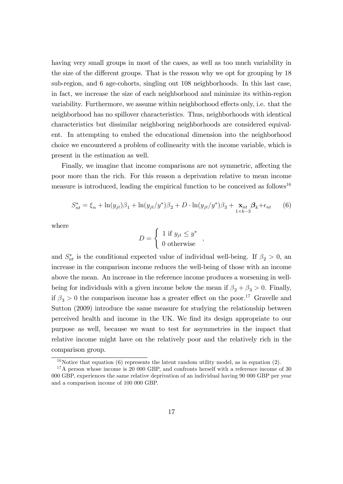having very small groups in most of the cases, as well as too much variability in the size of the different groups. That is the reason why we opt for grouping by 18 sub-region, and 6 age-cohorts, singling out 108 neighborhoods. In this last case, in fact, we increase the size of each neighborhood and minimize its within-region variability. Furthermore, we assume within neighborhood effects only, i.e. that the neighborhood has no spillover characteristics. Thus, neighborhoods with identical characteristics but dissimilar neighboring neighborhoods are considered equivalent. In attempting to embed the educational dimension into the neighborhood choice we encountered a problem of collinearity with the income variable, which is present in the estimation as well.

Finally, we imagine that income comparisons are not symmetric, affecting the poor more than the rich. For this reason a deprivation relative to mean income measure is introduced, leading the empirical function to be conceived as follows<sup>16</sup>

$$
S_{nt}^{*} = \xi_{n} + \ln(y_{jt})\beta_{1} + \ln(y_{jt}/y^{*})\beta_{2} + D \cdot \ln(y_{jt}/y^{*})\beta_{3} + \mathbf{x}_{nt}\beta_{k} + \epsilon_{nt}
$$
(6)

;

where

$$
D = \begin{cases} 1 \text{ if } y_{jt} \leq y^* \\ 0 \text{ otherwise} \end{cases}
$$

and  $S_{nt}^*$  is the conditional expected value of individual well-being. If  $\beta_2 > 0$ , and increase in the comparison income reduces the well-being of those with an income above the mean. An increase in the reference income produces a worsening in wellbeing for individuals with a given income below the mean if  $\beta_2 + \beta_3 > 0$ . Finally, if  $\beta_3 > 0$  the comparison income has a greater effect on the poor.<sup>17</sup> Gravelle and Sutton (2009) introduce the same measure for studying the relationship between perceived health and income in the UK. We find its design appropriate to our purpose as well, because we want to test for asymmetries in the impact that relative income might have on the relatively poor and the relatively rich in the comparison group.

<sup>&</sup>lt;sup>16</sup>Notice that equation (6) represents the latent random utility model, as in equation (2).

<sup>&</sup>lt;sup>17</sup>A person whose income is 20 000 GBP, and confronts herself with a reference income of 30 000 GBP, experiences the same relative deprivation of an individual having 90 000 GBP per year and a comparison income of 100 000 GBP.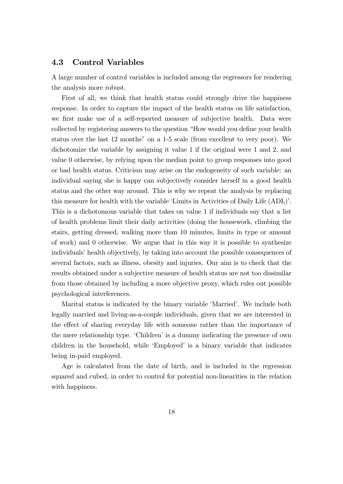#### 4.3 Control Variables

A large number of control variables is included among the regressors for rendering the analysis more robust.

First of all, we think that health status could strongly drive the happiness response. In order to capture the impact of the health status on life satisfaction, we first make use of a self-reported measure of subjective health. Data were collected by registering answers to the question "How would you define your health status over the last 12 months" on a 1-5 scale (from excellent to very poor). We dichotomize the variable by assigning it value 1 if the original were 1 and 2, and value 0 otherwise, by relying upon the median point to group responses into good or bad health status. Criticism may arise on the endogeneity of such variable: an individual saying she is happy can subjectively consider herself in a good health status and the other way around. This is why we repeat the analysis by replacing this measure for health with the variable 'Limits in Activities of Daily Life (ADL)'. This is a dichotomous variable that takes on value 1 if individuals say that a list of health problems limit their daily activities (doing the housework, climbing the stairs, getting dressed, walking more than 10 minutes, limits in type or amount of work) and 0 otherwise. We argue that in this way it is possible to synthesize individualsí health objectively, by taking into account the possible consequences of several factors, such as illness, obesity and injuries. Our aim is to check that the results obtained under a subjective measure of health status are not too dissimilar from those obtained by including a more objective proxy, which rules out possible psychological interferences.

Marital status is indicated by the binary variable 'Married'. We include both legally married and living-as-a-couple individuals, given that we are interested in the effect of sharing everyday life with someone rather than the importance of the mere relationship type. 'Children' is a dummy indicating the presence of own children in the household, while 'Employed' is a binary variable that indicates being in-paid employed.

Age is calculated from the date of birth, and is included in the regression squared and cubed, in order to control for potential non-linearities in the relation with happiness.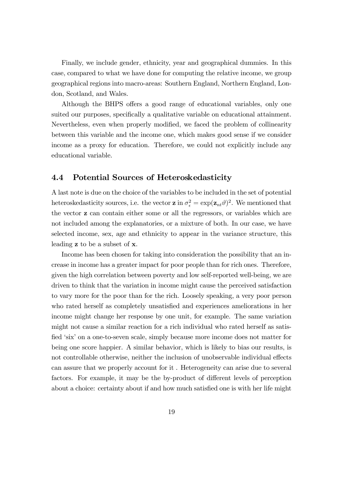Finally, we include gender, ethnicity, year and geographical dummies. In this case, compared to what we have done for computing the relative income, we group geographical regions into macro-areas: Southern England, Northern England, London, Scotland, and Wales.

Although the BHPS offers a good range of educational variables, only one suited our purposes, specifically a qualitative variable on educational attainment. Nevertheless, even when properly modified, we faced the problem of collinearity between this variable and the income one, which makes good sense if we consider income as a proxy for education. Therefore, we could not explicitly include any educational variable.

#### 4.4 Potential Sources of Heteroskedasticity

A last note is due on the choice of the variables to be included in the set of potential heteroskedasticity sources, i.e. the vector **z** in  $\sigma_{\epsilon}^2 = \exp(\mathbf{z}_{nt}\theta)^2$ . We mentioned that the vector z can contain either some or all the regressors, or variables which are not included among the explanatories, or a mixture of both. In our case, we have selected income, sex, age and ethnicity to appear in the variance structure, this leading z to be a subset of x.

Income has been chosen for taking into consideration the possibility that an increase in income has a greater impact for poor people than for rich ones. Therefore, given the high correlation between poverty and low self-reported well-being, we are driven to think that the variation in income might cause the perceived satisfaction to vary more for the poor than for the rich. Loosely speaking, a very poor person who rated herself as completely unsatisfied and experiences ameliorations in her income might change her response by one unit, for example. The same variation might not cause a similar reaction for a rich individual who rated herself as satisfied 'six' on a one-to-seven scale, simply because more income does not matter for being one score happier. A similar behavior, which is likely to bias our results, is not controllable otherwise, neither the inclusion of unobservable individual effects can assure that we properly account for it . Heterogeneity can arise due to several factors. For example, it may be the by-product of different levels of perception about a choice: certainty about if and how much satisfied one is with her life might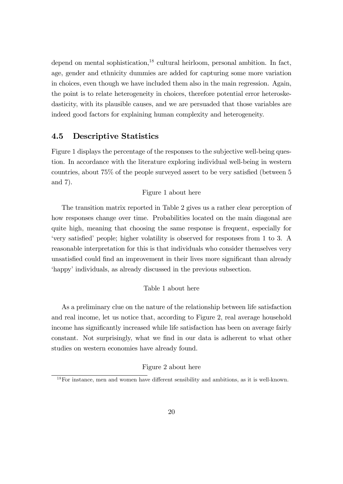depend on mental sophistication, $^{18}$  cultural heirloom, personal ambition. In fact, age, gender and ethnicity dummies are added for capturing some more variation in choices, even though we have included them also in the main regression. Again, the point is to relate heterogeneity in choices, therefore potential error heteroskedasticity, with its plausible causes, and we are persuaded that those variables are indeed good factors for explaining human complexity and heterogeneity.

#### 4.5 Descriptive Statistics

Figure 1 displays the percentage of the responses to the subjective well-being question. In accordance with the literature exploring individual well-being in western countries, about  $75\%$  of the people surveyed assert to be very satisfied (between 5) and 7).

#### Figure 1 about here

The transition matrix reported in Table 2 gives us a rather clear perception of how responses change over time. Probabilities located on the main diagonal are quite high, meaning that choosing the same response is frequent, especially for 'very satisfied' people; higher volatility is observed for responses from 1 to 3. A reasonable interpretation for this is that individuals who consider themselves very unsatisfied could find an improvement in their lives more significant than already ëhappyí individuals, as already discussed in the previous subsection.

#### Table 1 about here

As a preliminary clue on the nature of the relationship between life satisfaction and real income, let us notice that, according to Figure 2, real average household income has significantly increased while life satisfaction has been on average fairly constant. Not surprisingly, what we find in our data is adherent to what other studies on western economies have already found.

#### Figure 2 about here

 $18$ For instance, men and women have different sensibility and ambitions, as it is well-known.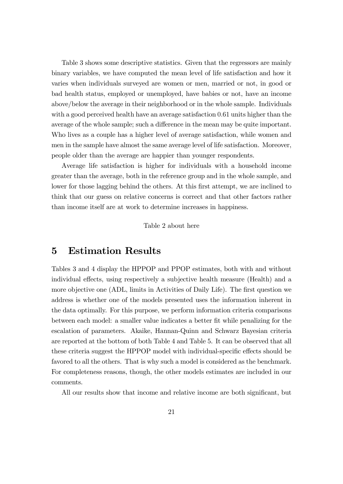Table 3 shows some descriptive statistics. Given that the regressors are mainly binary variables, we have computed the mean level of life satisfaction and how it varies when individuals surveyed are women or men, married or not, in good or bad health status, employed or unemployed, have babies or not, have an income above/below the average in their neighborhood or in the whole sample. Individuals with a good perceived health have an average satisfaction 0:61 units higher than the average of the whole sample; such a difference in the mean may be quite important. Who lives as a couple has a higher level of average satisfaction, while women and men in the sample have almost the same average level of life satisfaction. Moreover, people older than the average are happier than younger respondents.

Average life satisfaction is higher for individuals with a household income greater than the average, both in the reference group and in the whole sample, and lower for those lagging behind the others. At this first attempt, we are inclined to think that our guess on relative concerns is correct and that other factors rather than income itself are at work to determine increases in happiness.

Table 2 about here

## 5 Estimation Results

Tables 3 and 4 display the HPPOP and PPOP estimates, both with and without individual effects, using respectively a subjective health measure (Health) and a more objective one (ADL, limits in Activities of Daily Life). The first question we address is whether one of the models presented uses the information inherent in the data optimally. For this purpose, we perform information criteria comparisons between each model: a smaller value indicates a better fit while penalizing for the escalation of parameters. Akaike, Hannan-Quinn and Schwarz Bayesian criteria are reported at the bottom of both Table 4 and Table 5. It can be observed that all these criteria suggest the HPPOP model with individual-specific effects should be favored to all the others. That is why such a model is considered as the benchmark. For completeness reasons, though, the other models estimates are included in our comments.

All our results show that income and relative income are both significant, but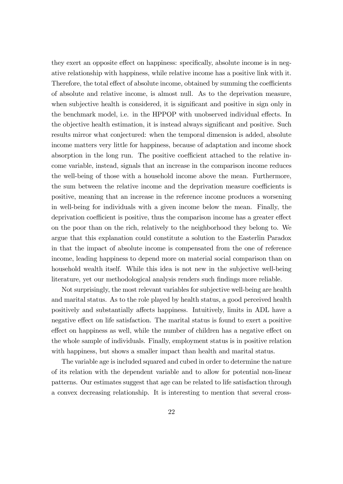they exert an opposite effect on happiness: specifically, absolute income is in negative relationship with happiness, while relative income has a positive link with it. Therefore, the total effect of absolute income, obtained by summing the coefficients of absolute and relative income, is almost null. As to the deprivation measure, when subjective health is considered, it is significant and positive in sign only in the benchmark model, i.e. in the HPPOP with unobserved individual effects. In the objective health estimation, it is instead always significant and positive. Such results mirror what conjectured: when the temporal dimension is added, absolute income matters very little for happiness, because of adaptation and income shock absorption in the long run. The positive coefficient attached to the relative income variable, instead, signals that an increase in the comparison income reduces the well-being of those with a household income above the mean. Furthermore, the sum between the relative income and the deprivation measure coefficients is positive, meaning that an increase in the reference income produces a worsening in well-being for individuals with a given income below the mean. Finally, the deprivation coefficient is positive, thus the comparison income has a greater effect on the poor than on the rich, relatively to the neighborhood they belong to. We argue that this explanation could constitute a solution to the Easterlin Paradox in that the impact of absolute income is compensated from the one of reference income, leading happiness to depend more on material social comparison than on household wealth itself. While this idea is not new in the subjective well-being literature, yet our methodological analysis renders such findings more reliable.

Not surprisingly, the most relevant variables for subjective well-being are health and marital status. As to the role played by health status, a good perceived health positively and substantially a§ects happiness. Intuitively, limits in ADL have a negative effect on life satisfaction. The marital status is found to exert a positive effect on happiness as well, while the number of children has a negative effect on the whole sample of individuals. Finally, employment status is in positive relation with happiness, but shows a smaller impact than health and marital status.

The variable age is included squared and cubed in order to determine the nature of its relation with the dependent variable and to allow for potential non-linear patterns. Our estimates suggest that age can be related to life satisfaction through a convex decreasing relationship. It is interesting to mention that several cross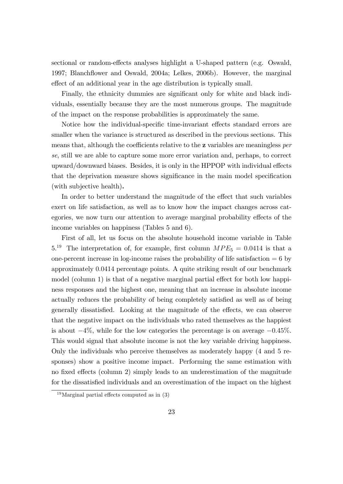sectional or random-effects analyses highlight a U-shaped pattern (e.g. Oswald, 1997; Blanchflower and Oswald, 2004a; Lelkes, 2006b). However, the marginal effect of an additional year in the age distribution is typically small.

Finally, the ethnicity dummies are significant only for white and black individuals, essentially because they are the most numerous groups. The magnitude of the impact on the response probabilities is approximately the same.

Notice how the individual-specific time-invariant effects standard errors are smaller when the variance is structured as described in the previous sections. This means that, although the coefficients relative to the  $z$  variables are meaningless *per* se, still we are able to capture some more error variation and, perhaps, to correct upward/downward biases. Besides, it is only in the HPPOP with individual effects that the deprivation measure shows significance in the main model specification (with subjective health).

In order to better understand the magnitude of the effect that such variables exert on life satisfaction, as well as to know how the impact changes across categories, we now turn our attention to average marginal probability effects of the income variables on happiness (Tables 5 and 6).

First of all, let us focus on the absolute household income variable in Table 5.<sup>19</sup> The interpretation of, for example, first column  $MPE_5 = 0.0414$  is that a one-percent increase in log-income raises the probability of life satisfaction  $= 6$  by approximately 0:0414 percentage points. A quite striking result of our benchmark model (column 1) is that of a negative marginal partial effect for both low happiness responses and the highest one, meaning that an increase in absolute income actually reduces the probability of being completely satisfied as well as of being generally dissatisfied. Looking at the magnitude of the effects, we can observe that the negative impact on the individuals who rated themselves as the happiest is about  $-4\%$ , while for the low categories the percentage is on average  $-0.45\%$ . This would signal that absolute income is not the key variable driving happiness. Only the individuals who perceive themselves as moderately happy (4 and 5 responses) show a positive income impact. Performing the same estimation with no fixed effects (column 2) simply leads to an underestimation of the magnitude for the dissatisfied individuals and an overestimation of the impact on the highest

 $19$ Marginal partial effects computed as in (3)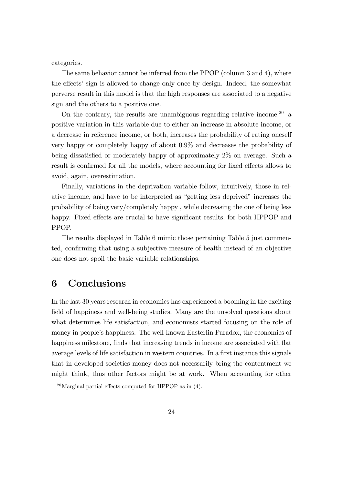categories.

The same behavior cannot be inferred from the PPOP (column 3 and 4), where the effects' sign is allowed to change only once by design. Indeed, the somewhat perverse result in this model is that the high responses are associated to a negative sign and the others to a positive one.

On the contrary, the results are unambiguous regarding relative income:  $^{20}$  a positive variation in this variable due to either an increase in absolute income, or a decrease in reference income, or both, increases the probability of rating oneself very happy or completely happy of about 0:9% and decreases the probability of being dissatisfied or moderately happy of approximately  $2\%$  on average. Such a result is confirmed for all the models, where accounting for fixed effects allows to avoid, again, overestimation.

Finally, variations in the deprivation variable follow, intuitively, those in relative income, and have to be interpreted as "getting less deprived" increases the probability of being very/completely happy , while decreasing the one of being less happy. Fixed effects are crucial to have significant results, for both HPPOP and PPOP.

The results displayed in Table 6 mimic those pertaining Table 5 just commented, confirming that using a subjective measure of health instead of an objective one does not spoil the basic variable relationships.

## 6 Conclusions

In the last 30 years research in economics has experienced a booming in the exciting field of happiness and well-being studies. Many are the unsolved questions about what determines life satisfaction, and economists started focusing on the role of money in people's happiness. The well-known Easterlin Paradox, the economics of happiness milestone, finds that increasing trends in income are associated with flat average levels of life satisfaction in western countries. In a first instance this signals that in developed societies money does not necessarily bring the contentment we might think, thus other factors might be at work. When accounting for other

 $^{20}$ Marginal partial effects computed for HPPOP as in (4).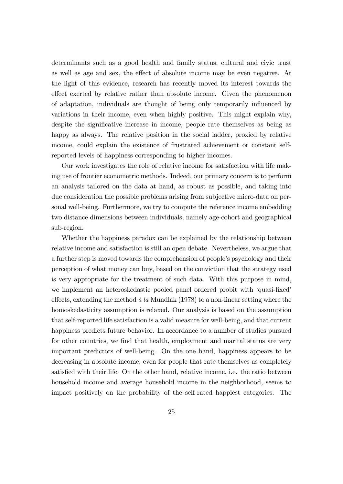determinants such as a good health and family status, cultural and civic trust as well as age and sex, the effect of absolute income may be even negative. At the light of this evidence, research has recently moved its interest towards the effect exerted by relative rather than absolute income. Given the phenomenon of adaptation, individuals are thought of being only temporarily ináuenced by variations in their income, even when highly positive. This might explain why, despite the significative increase in income, people rate themselves as being as happy as always. The relative position in the social ladder, proxied by relative income, could explain the existence of frustrated achievement or constant selfreported levels of happiness corresponding to higher incomes.

Our work investigates the role of relative income for satisfaction with life making use of frontier econometric methods. Indeed, our primary concern is to perform an analysis tailored on the data at hand, as robust as possible, and taking into due consideration the possible problems arising from subjective micro-data on personal well-being. Furthermore, we try to compute the reference income embedding two distance dimensions between individuals, namely age-cohort and geographical sub-region.

Whether the happiness paradox can be explained by the relationship between relative income and satisfaction is still an open debate. Nevertheless, we argue that a further step is moved towards the comprehension of people's psychology and their perception of what money can buy, based on the conviction that the strategy used is very appropriate for the treatment of such data. With this purpose in mind, we implement an heteroskedastic pooled panel ordered probit with 'quasi-fixed' effects, extending the method  $\dot{a}$  la Mundlak (1978) to a non-linear setting where the homoskedasticity assumption is relaxed. Our analysis is based on the assumption that self-reported life satisfaction is a valid measure for well-being, and that current happiness predicts future behavior. In accordance to a number of studies pursued for other countries, we find that health, employment and marital status are very important predictors of well-being. On the one hand, happiness appears to be decreasing in absolute income, even for people that rate themselves as completely satisfied with their life. On the other hand, relative income, i.e. the ratio between household income and average household income in the neighborhood, seems to impact positively on the probability of the self-rated happiest categories. The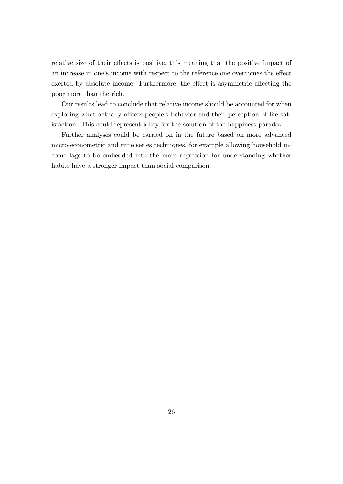relative size of their effects is positive, this meaning that the positive impact of an increase in one's income with respect to the reference one overcomes the effect exerted by absolute income. Furthermore, the effect is asymmetric affecting the poor more than the rich.

Our results lead to conclude that relative income should be accounted for when exploring what actually affects people's behavior and their perception of life satisfaction. This could represent a key for the solution of the happiness paradox.

Further analyses could be carried on in the future based on more advanced micro-econometric and time series techniques, for example allowing household income lags to be embedded into the main regression for understanding whether habits have a stronger impact than social comparison.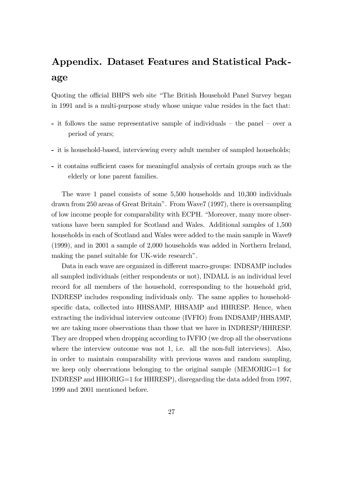## Appendix. Dataset Features and Statistical Package

Quoting the official BHPS web site "The British Household Panel Survey began in 1991 and is a multi-purpose study whose unique value resides in the fact that:

- it follows the same representative sample of individuals  $-$  the panel  $-$  over a period of years;
- it is household-based, interviewing every adult member of sampled households;
- it contains sufficient cases for meaningful analysis of certain groups such as the elderly or lone parent families.

The wave 1 panel consists of some 5,500 households and 10,300 individuals drawn from 250 areas of Great Britainî. From Wave7 (1997), there is oversampling of low income people for comparability with ECPH. "Moreover, many more observations have been sampled for Scotland and Wales. Additional samples of 1,500 households in each of Scotland and Wales were added to the main sample in Wave9 (1999), and in 2001 a sample of 2,000 households was added in Northern Ireland, making the panel suitable for UK-wide research<sup>"</sup>.

Data in each wave are organized in different macro-groups: INDSAMP includes all sampled individuals (either respondents or not), INDALL is an individual level record for all members of the household, corresponding to the household grid, INDRESP includes responding individuals only. The same applies to householdspecific data, collected into HHSSAMP, HHSAMP and HHRESP. Hence, when extracting the individual interview outcome (IVFIO) from INDSAMP/HHSAMP, we are taking more observations than those that we have in INDRESP/HHRESP. They are dropped when dropping according to IVFIO (we drop all the observations where the interview outcome was not 1, i.e. all the non-full interviews). Also, in order to maintain comparability with previous waves and random sampling, we keep only observations belonging to the original sample (MEMORIG=1 for INDRESP and HHORIG=1 for HHRESP), disregarding the data added from 1997, 1999 and 2001 mentioned before.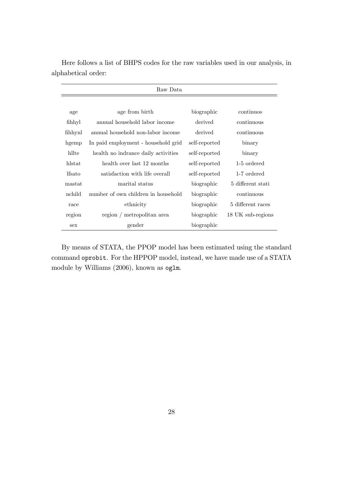| Raw Data                    |                                     |               |                   |  |  |  |  |
|-----------------------------|-------------------------------------|---------------|-------------------|--|--|--|--|
|                             |                                     |               |                   |  |  |  |  |
| age                         | age from birth                      | biographic    | continuos         |  |  |  |  |
| fihhyl                      | annual household labor income       | derived       | continuous        |  |  |  |  |
| fihhynl                     | annual household non-labor income   | derived       | continuous        |  |  |  |  |
| hgemp                       | In paid employment - household grid | self-reported | binary            |  |  |  |  |
| hllte                       | health no indrance daily activities | self-reported | binary            |  |  |  |  |
| hlstat                      | health over last 12 months          | self-reported | 1-5 ordered       |  |  |  |  |
| <i><u><b>Ifsato</b></u></i> | satisfaction with life overall      | self-reported | 1-7 ordered       |  |  |  |  |
| mastat                      | marital status                      | biographic    | 5 different stati |  |  |  |  |
| nchild                      | number of own children in household | biographic    | continuous        |  |  |  |  |
| race                        | ethnicity                           | biographic    | 5 different races |  |  |  |  |
| region                      | region / metropolitan area          | biographic    | 18 UK sub-regions |  |  |  |  |
| sex                         | gender                              | biographic    |                   |  |  |  |  |

Here follows a list of BHPS codes for the raw variables used in our analysis, in alphabetical order:

By means of STATA, the PPOP model has been estimated using the standard command oprobit. For the HPPOP model, instead, we have made use of a STATA module by Williams (2006), known as oglm.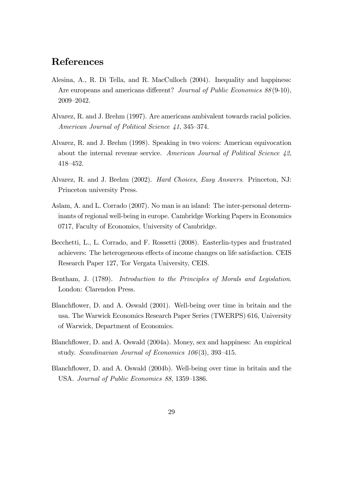## References

- Alesina, A., R. Di Tella, and R. MacCulloch (2004). Inequality and happiness: Are europeans and americans different? Journal of Public Economics  $88(9-10)$ , 2009-2042.
- Alvarez, R. and J. Brehm (1997). Are americans ambivalent towards racial policies. American Journal of Political Science  $\mu$ 1, 345–374.
- Alvarez, R. and J. Brehm (1998). Speaking in two voices: American equivocation about the internal revenue service. American Journal of Political Science 42, 418-452.
- Alvarez, R. and J. Brehm (2002). Hard Choices, Easy Answers. Princeton, NJ: Princeton university Press.
- Aslam, A. and L. Corrado (2007). No man is an island: The inter-personal determinants of regional well-being in europe. Cambridge Working Papers in Economics 0717, Faculty of Economics, University of Cambridge.
- Becchetti, L., L. Corrado, and F. Rossetti (2008). Easterlin-types and frustrated achievers: The heterogeneous effects of income changes on life satisfaction. CEIS Research Paper 127, Tor Vergata University, CEIS.
- Bentham, J. (1789). Introduction to the Principles of Morals and Legislation. London: Clarendon Press.
- Blanchflower, D. and A. Oswald (2001). Well-being over time in britain and the usa. The Warwick Economics Research Paper Series (TWERPS) 616, University of Warwick, Department of Economics.
- Blanchflower, D. and A. Oswald (2004a). Money, sex and happiness: An empirical study. Scandinavian Journal of Economics  $106(3)$ , 393-415.
- Blanchflower, D. and A. Oswald (2004b). Well-being over time in britain and the USA. Journal of Public Economics 88, 1359–1386.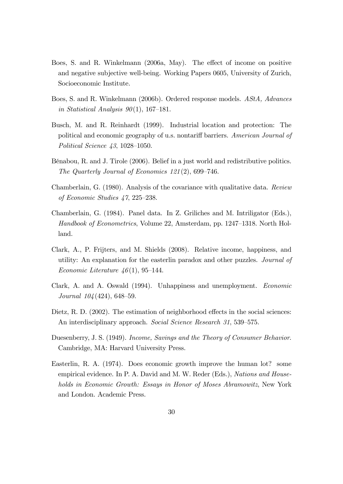- Boes, S. and R. Winkelmann (2006a, May). The effect of income on positive and negative subjective well-being. Working Papers 0605, University of Zurich, Socioeconomic Institute.
- Boes, S. and R. Winkelmann (2006b). Ordered response models. AStA, Advances in Statistical Analysis  $90(1)$ , 167–181.
- Busch, M. and R. Reinhardt (1999). Industrial location and protection: The political and economic geography of u.s. nontariff barriers. American Journal of Political Science  $43, 1028-1050$ .
- BÈnabou, R. and J. Tirole (2006). Belief in a just world and redistributive politics. The Quarterly Journal of Economics  $121(2)$ , 699–746.
- Chamberlain, G. (1980). Analysis of the covariance with qualitative data. Review of Economic Studies  $47, 225-238$ .
- Chamberlain, G. (1984). Panel data. In Z. Griliches and M. Intriligator (Eds.), Handbook of Econometrics, Volume 22, Amsterdam, pp. 1247–1318. North Holland.
- Clark, A., P. Frijters, and M. Shields (2008). Relative income, happiness, and utility: An explanation for the easterlin paradox and other puzzles. Journal of Economic Literature  $46(1), 95-144.$
- Clark, A. and A. Oswald (1994). Unhappiness and unemployment. Economic Journal  $104(424)$ , 648–59.
- Dietz, R. D.  $(2002)$ . The estimation of neighborhood effects in the social sciences: An interdisciplinary approach. Social Science Research 31, 539–575.
- Duesenberry, J. S. (1949). Income, Savings and the Theory of Consumer Behavior. Cambridge, MA: Harvard University Press.
- Easterlin, R. A. (1974). Does economic growth improve the human lot? some empirical evidence. In P. A. David and M. W. Reder (Eds.), Nations and Households in Economic Growth: Essays in Honor of Moses Abramowitz, New York and London. Academic Press.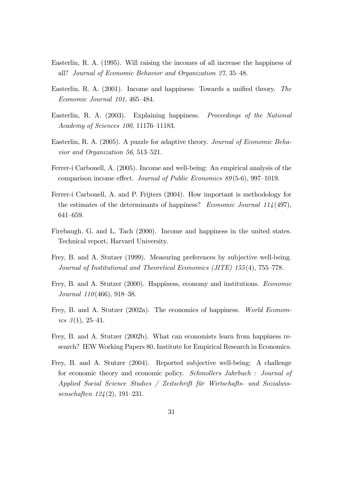- Easterlin, R. A. (1995). Will raising the incomes of all increase the happiness of all? Journal of Economic Behavior and Organization  $27, 35-48$ .
- Easterlin, R. A.  $(2001)$ . Income and happiness: Towards a unified theory. The  $Economic\ Journal\ 101, 465-484.$
- Easterlin, R. A. (2003). Explaining happiness. Proceedings of the National Academy of Sciences  $100, 11176 - 11183$ .
- Easterlin, R. A. (2005). A puzzle for adaptive theory. Journal of Economic Behavior and Organization 56, 513–521.
- Ferrer-i Carbonell, A. (2005). Income and well-being: An empirical analysis of the comparison income effect. Journal of Public Economics  $89(5-6)$ , 997-1019.
- Ferrer-i Carbonell, A. and P. Frijters (2004). How important is methodology for the estimates of the determinants of happiness? Economic Journal  $11/4$  (497), 641-659.
- Firebaugh, G. and L. Tach (2000). Income and happiness in the united states. Technical report, Harvard University.
- Frey, B. and A. Stutzer (1999). Measuring preferences by subjective well-being. Journal of Institutional and Theoretical Economics (JITE)  $155(4)$ , 755–778.
- Frey, B. and A. Stutzer (2000). Happiness, economy and institutions. Economic Journal  $110(466)$ , 918–38.
- Frey, B. and A. Stutzer (2002a). The economics of happiness. World Economics  $3(1)$ , 25–41.
- Frey, B. and A. Stutzer (2002b). What can economists learn from happiness research? IEW Working Papers 80, Institute for Empirical Research in Economics.
- Frey, B. and A. Stutzer (2004). Reported subjective well-being: A challenge for economic theory and economic policy. Schmollers Jahrbuch : Journal of Applied Social Science Studies / Zeitschrift für Wirtschafts- und Sozialwissenschaften  $124(2)$ , 191–231.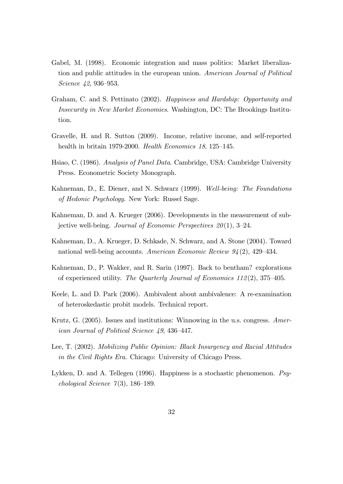- Gabel, M. (1998). Economic integration and mass politics: Market liberalization and public attitudes in the european union. American Journal of Political Science 42, 936–953.
- Graham, C. and S. Pettinato (2002). Happiness and Hardship: Opportunity and Insecurity in New Market Economies. Washington, DC: The Brookings Institution.
- Gravelle, H. and R. Sutton (2009). Income, relative income, and self-reported health in britain 1979-2000. Health Economics  $18$ , 125–145.
- Hsiao, C. (1986). Analysis of Panel Data. Cambridge, USA: Cambridge University Press. Econometric Society Monograph.
- Kahneman, D., E. Diener, and N. Schwarz (1999). Well-being: The Foundations of Hedonic Psychology. New York: Russel Sage.
- Kahneman, D. and A. Krueger (2006). Developments in the measurement of subjective well-being. Journal of Economic Perspectives  $20(1)$ , 3–24.
- Kahneman, D., A. Krueger, D. Schkade, N. Schwarz, and A. Stone (2004). Toward national well-being accounts. American Economic Review  $94(2)$ , 429–434.
- Kahneman, D., P. Wakker, and R. Sarin (1997). Back to bentham? explorations of experienced utility. The Quarterly Journal of Economics 112(2), 375-405.
- Keele, L. and D. Park (2006). Ambivalent about ambivalence: A re-examination of heteroskedastic probit models. Technical report.
- Krutz, G. (2005). Issues and institutions: Winnowing in the u.s. congress. American Journal of Political Science  $49,436-447$ .
- Lee, T. (2002). Mobilizing Public Opinion: Black Insurgency and Racial Attitudes in the Civil Rights Era. Chicago: University of Chicago Press.
- Lykken, D. and A. Tellegen (1996). Happiness is a stochastic phenomenon. Psychological Science  $7(3)$ , 186–189.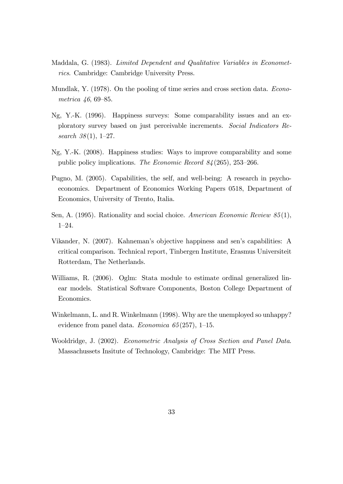- Maddala, G. (1983). Limited Dependent and Qualitative Variables in Econometrics. Cambridge: Cambridge University Press.
- Mundlak, Y. (1978). On the pooling of time series and cross section data. Econometrica  $46, 69-85.$
- Ng, Y.-K. (1996). Happiness surveys: Some comparability issues and an exploratory survey based on just perceivable increments. Social Indicators Research  $38(1)$ , 1-27.
- Ng, Y.-K. (2008). Happiness studies: Ways to improve comparability and some public policy implications. The Economic Record  $84(265)$ , 253–266.
- Pugno, M. (2005). Capabilities, the self, and well-being: A research in psychoeconomics. Department of Economics Working Papers 0518, Department of Economics, University of Trento, Italia.
- Sen, A. (1995). Rationality and social choice. American Economic Review 85(1),  $1 - 24$ .
- Vikander, N. (2007). Kahnemanís objective happiness and senís capabilities: A critical comparison. Technical report, Tinbergen Institute, Erasmus Universiteit Rotterdam, The Netherlands.
- Williams, R. (2006). Oglm: Stata module to estimate ordinal generalized linear models. Statistical Software Components, Boston College Department of Economics.
- Winkelmann, L. and R. Winkelmann (1998). Why are the unemployed so unhappy? evidence from panel data. *Economica*  $65(257)$ , 1–15.
- Wooldridge, J. (2002). Econometric Analysis of Cross Section and Panel Data. Massachussets Insitute of Technology, Cambridge: The MIT Press.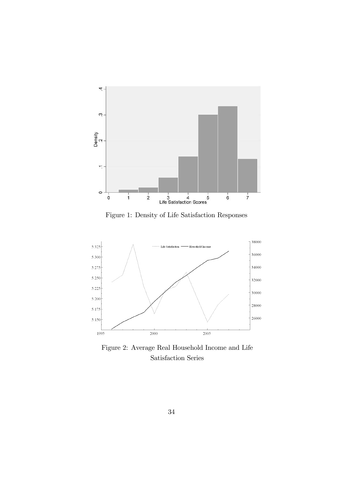

Figure 1: Density of Life Satisfaction Responses



Figure 2: Average Real Household Income and Life Satisfaction Series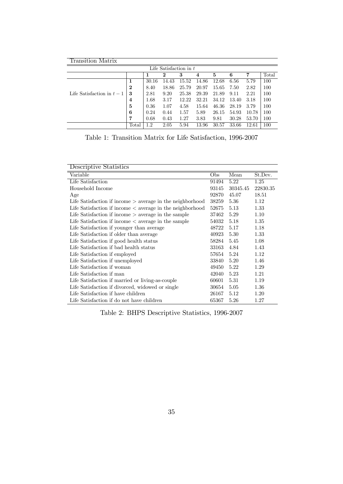| Transition Matrix                                               |                                                                              |         |       |       |       |       |       |       |       |
|-----------------------------------------------------------------|------------------------------------------------------------------------------|---------|-------|-------|-------|-------|-------|-------|-------|
| Life Satisfaction in $t$                                        |                                                                              |         |       |       |       |       |       |       |       |
| 3<br>5<br>6<br>$\boldsymbol{2}$<br>$\overline{\mathbf{4}}$<br>7 |                                                                              |         |       |       |       |       |       |       | Total |
|                                                                 | 1                                                                            | 30.16   | 14.43 | 15.52 | 14.86 | 12.68 | 6.56  | 5.79  | 100   |
|                                                                 | $\boldsymbol{2}$<br>18.86<br>20.97<br>2.82<br>8.40<br>25.79<br>15.65<br>7.50 |         |       |       |       | 100   |       |       |       |
| Life Satisfaction in $t-1$                                      | 3                                                                            | 2.81    | 9.20  | 25.38 | 29.39 | 21.89 | 9.11  | 2.21  | 100   |
|                                                                 | 4                                                                            | 1.68    | 3.17  | 12.22 | 32.21 | 34.12 | 13.40 | 3.18  | 100   |
|                                                                 | 5                                                                            | 0.36    | 1.07  | 4.58  | 15.64 | 46.36 | 28.19 | 3.79  | 100   |
|                                                                 | 6                                                                            | 0.24    | 0.44  | 1.57  | 5.89  | 26.15 | 54.93 | 10.78 | 100   |
|                                                                 | 7                                                                            | 0.68    | 0.43  | 1.27  | 3.83  | 9.81  | 30.28 | 53.70 | 100   |
|                                                                 | Total                                                                        | $1.2\,$ | 2.05  | 5.94  | 13.96 | 30.57 | 33.66 | 12.61 | 100   |

Table 1: Transition Matrix for Life Satisfaction, 1996-2007

| Descriptive Statistics                                            |       |          |          |  |  |  |  |
|-------------------------------------------------------------------|-------|----------|----------|--|--|--|--|
| Variable                                                          | Obs   | Mean     | St.Dev.  |  |  |  |  |
| Life Satisfaction                                                 | 91494 | 5.22     | 1.25     |  |  |  |  |
| Household Income                                                  | 93145 | 30345.45 | 22830.35 |  |  |  |  |
| Age                                                               | 92870 | 45.07    | 18.51    |  |  |  |  |
| Life Satisfaction if income $\geq$ average in the neighborhood    | 38259 | 5.36     | 1.12     |  |  |  |  |
| Life Satisfaction if income $\langle$ average in the neighborhood | 52675 | 5.13     | 1.33     |  |  |  |  |
| Life Satisfaction if income $>$ average in the sample             | 37462 | 5.29     | 1.10     |  |  |  |  |
| Life Satisfaction if income $\langle$ average in the sample       | 54032 | 5.18     | 1.35     |  |  |  |  |
| Life Satisfaction if younger than average                         | 48722 | 5.17     | 1.18     |  |  |  |  |
| Life Satisfaction if older than average                           | 40923 | 5.30     | 1.33     |  |  |  |  |
| Life Satisfaction if good health status                           | 58284 | 5.45     | 1.08     |  |  |  |  |
| Life Satisfaction if bad health status                            | 33163 | 4.84     | 1.43     |  |  |  |  |
| Life Satisfaction if employed                                     | 57654 | 5.24     | 1.12     |  |  |  |  |
| Life Satisfaction if unemployed                                   | 33840 | 5.20     | 1.46     |  |  |  |  |
| Life Satisfaction if woman                                        | 49450 | 5.22     | 1.29     |  |  |  |  |
| Life Satisfaction if man                                          | 42040 | 5.23     | 1.21     |  |  |  |  |
| Life Satisfaction if married or living-as-couple                  | 60601 | 5.31     | 1.19     |  |  |  |  |
| Life Satisfaction if divorced, widowed or single                  | 30654 | 5.05     | 1.36     |  |  |  |  |
| Life Satisfaction if have children                                | 26167 | 5.12     | 1.20     |  |  |  |  |
| Life Satisfaction if do not have children                         | 65367 | 5.26     | 1.27     |  |  |  |  |

Table 2: BHPS Descriptive Statistics, 1996-2007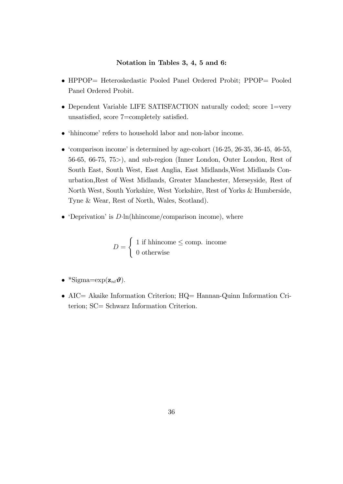#### Notation in Tables 3, 4, 5 an 6:

- HPPOP= Heteroskedastic Pooled Panel Ordered Probit; PPOP= Pooled Panel Ordered Probit.
- Dependent Variable LIFE SATISFACTION naturally coded; score 1=very unsatisfied, score 7=completely satisfied.
- $\bullet$  'hhincome' refers to household labor and non-labor income.
- $\bullet$  'comparison income' is determined by age-cohort (16-25, 26-35, 36-45, 46-55, 56-65, 66-75, 75>), and sub-region (Inner London, Outer London, Rest of South East, South West, East Anglia, East Midlands,West Midlands Conurbation,Rest of West Midlands, Greater Manchester, Merseyside, Rest of North West, South Yorkshire, West Yorkshire, Rest of Yorks & Humberside, Tyne & Wear, Rest of North, Wales, Scotland).
- Deprivation' is  $D\cdot \ln(\text{hhincome}/\text{comparison income})$ , where

$$
D = \begin{cases} 1 \text{ if } \text{hhincome} \le \text{comp. income} \\ 0 \text{ otherwise} \end{cases}
$$

- \*Sigma= $\exp(\mathbf{z}_{nt}\boldsymbol{\vartheta})$ .
- AIC= Akaike Information Criterion; HQ= Hannan-Quinn Information Criterion; SC= Schwarz Information Criterion.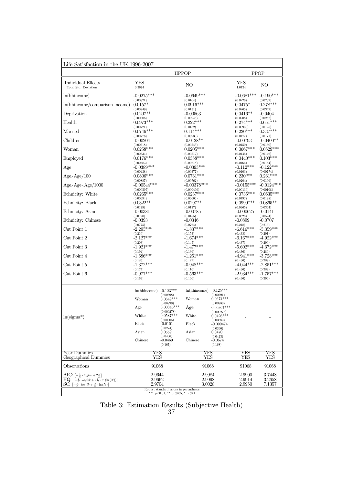| Life Satisfaction in the UK, 1996-2007                                                                                                                                  |                             |                                                                         |                             |                            |                           |                           |  |  |
|-------------------------------------------------------------------------------------------------------------------------------------------------------------------------|-----------------------------|-------------------------------------------------------------------------|-----------------------------|----------------------------|---------------------------|---------------------------|--|--|
|                                                                                                                                                                         | <b>HPPOP</b><br><b>PPOP</b> |                                                                         |                             |                            |                           |                           |  |  |
| Individual Effects<br>Total Std. Deviation                                                                                                                              | YES<br>0.3674               |                                                                         | NO                          |                            | YES<br>1.0124             | NO                        |  |  |
| ln(hhincome)                                                                                                                                                            | $-0.0275***$                |                                                                         | $-0.0649***$                |                            | $-0.0681***$              | $-0.190***$               |  |  |
| $ln(hhincome/comparison\ income)$                                                                                                                                       | (0.00821)<br>$0.0157*$      |                                                                         | (0.0104)<br>$0.0916***$     |                            | (0.0226)<br>$0.0475*$     | (0.0282)<br>$0.278***$    |  |  |
| Deprivation                                                                                                                                                             | (0.00949)<br>$0.0207**$     |                                                                         | (0.0131)<br>$-0.00563$      |                            | (0.0265)<br>$0.0416**$    | (0.0342)<br>-0.0404       |  |  |
| Health                                                                                                                                                                  | (0.00806)<br>$0.0973***$    |                                                                         | (0.00946)<br>$0.222***$     |                            | (0.0208)<br>$0.274***$    | (0.0267)<br>$0.651***$    |  |  |
| Married                                                                                                                                                                 | (0.00721)<br>$0.0746***$    |                                                                         | (0.0152)<br>$0.114***$      |                            | (0.00933)<br>$0.220***$   | (0.0128)<br>$0.337***$    |  |  |
| Children                                                                                                                                                                | (0.00776)<br>$-0.00204$     |                                                                         | (0.00930)<br>$-0.0128**$    |                            | (0.0177)<br>$-0.00793$    | (0.0171)<br>$-0.0400**$   |  |  |
|                                                                                                                                                                         | (0.00518)<br>$0.0258***$    |                                                                         | (0.00545)<br>$0.0205***$    |                            | (0.0150)<br>$0.0667***$   | (0.0160)<br>$0.0529***$   |  |  |
| Woman                                                                                                                                                                   | (0.00534)                   |                                                                         | (0.00512)                   |                            | (0.0146)                  | (0.0146)                  |  |  |
| Employed                                                                                                                                                                | $0.0176***$<br>(0.00583)    |                                                                         | $0.0358***$<br>(0.00618)    |                            | $0.0440***$<br>(0.0164)   | $0.103***$<br>(0.0164)    |  |  |
| Age                                                                                                                                                                     | $-0.0389***$<br>(0.00438)   |                                                                         | $-0.0393***$<br>(0.00377)   |                            | $-0.112***$<br>(0.0103)   | $-0.122***$<br>(0.00774)  |  |  |
| $Age \times Age / 100$                                                                                                                                                  | $0.0806***$<br>(0.00887)    |                                                                         | $0.0731***$<br>(0.00762)    |                            | $0.230***$<br>(0.0204)    | $0.231***$<br>(0.0166)    |  |  |
| $Age \times Age \times Age / 1000$                                                                                                                                      | $-0.00544***$<br>(0.000595) |                                                                         | $-0.00378***$<br>(0.000460) |                            | $-0.0155***$<br>(0.00136) | $-0.0124***$<br>(0.00108) |  |  |
| Ethnicity: White                                                                                                                                                        | $0.0265***$<br>(0.00694)    |                                                                         | $0.0237***$<br>(0.00666)    |                            | $0.0735***$<br>(0.0192)   | $0.0635***$<br>(0.0188)   |  |  |
| Ethnicity: Black                                                                                                                                                        | $0.0322**$<br>(0.0129)      |                                                                         | $0.0297**$<br>(0.0127)      |                            | $0.0999***$               | $0.0865**$                |  |  |
| Ethnicity: Asian                                                                                                                                                        | $-0.00381$                  |                                                                         | -0.00785                    |                            | (0.0365)<br>$-0.000625$   | (0.0364)<br>$-0.0141$     |  |  |
| Ethnicity: Chinese                                                                                                                                                      | (0.0190)<br>$-0.0393$       |                                                                         | (0.0185)<br>$-0.0346$       |                            | (0.0528)<br>$-0.0899$     | (0.0524)<br>$-0.0707$     |  |  |
| Cut Point 1                                                                                                                                                             | (0.0775)<br>$-2.295***$     |                                                                         | (0.0764)<br>$-1.837***$     |                            | (0.218)<br>$-6.616***$    | (0.213)<br>$-5.359***$    |  |  |
| Cut Point 2                                                                                                                                                             | (0.210)<br>$-2.127***$      |                                                                         | (0.153)<br>$-1.674***$      |                            | (0.438)<br>$-6.167***$    | (0.291)<br>$-4.922***$    |  |  |
| Cut Point 3                                                                                                                                                             | (0.203)<br>$-1.921***$      |                                                                         | (0.145)<br>$-1.477***$      |                            | (0.437)<br>$-5.602***$    | (0.290)<br>$-4.372***$    |  |  |
| Cut Point 4                                                                                                                                                             | (0.194)<br>$-1.686***$      |                                                                         | (0.136)<br>$-1.251***$      |                            | (0.436)<br>$-4.941***$    | (0.289)<br>-3.728***      |  |  |
| $\ensuremath{\mathrm{Cut}}$ Point 5                                                                                                                                     | (0.185)<br>$-1.372***$      |                                                                         | (0.127)<br>$-0.948***$      |                            | (0.436)<br>$-4.044***$    | (0.289)<br>$-2.851***$    |  |  |
| Cut Point 6                                                                                                                                                             | (0.174)<br>$-0.977***$      |                                                                         | (0.116)<br>$-0.563***$      |                            | (0.436)<br>$-2.934***$    | (0.289)<br>$-1.757***$    |  |  |
|                                                                                                                                                                         | (0.163)                     |                                                                         | (0.106)                     |                            | (0.436)                   | (0.290)                   |  |  |
|                                                                                                                                                                         | ln(hhincome)                | $-0.123***$<br>(0.00598)                                                | $ln(hhincome) -0.125***$    | (0.00591)                  |                           |                           |  |  |
|                                                                                                                                                                         | Woman                       | $0.0649***$<br>(0.00999)                                                | Woman                       | $0.0674***$<br>(0.00980)   |                           |                           |  |  |
|                                                                                                                                                                         | Age                         | $0.00346***$<br>(0.000278)                                              | Age                         | $0.00367***$<br>(0.000273) |                           |                           |  |  |
| $ln(sigma^*)$                                                                                                                                                           | White                       | $0.0587***$<br>(0.00905)                                                | White                       | $0.0426***$<br>(0.00883)   |                           |                           |  |  |
|                                                                                                                                                                         | Black                       | $-0.0101$<br>(0.0274)                                                   | Black                       | $-0.000474$<br>(0.0266)    |                           |                           |  |  |
|                                                                                                                                                                         | Asian                       | 0.0559<br>(0.0436)                                                      | Asian                       | 0.0470<br>(0.0423)         |                           |                           |  |  |
|                                                                                                                                                                         | Chinese                     | $-0.0469$<br>(0.167)                                                    | Chinese                     | $-0.0574$<br>(0.168)       |                           |                           |  |  |
| Year Dummies<br>Geographical Dummies                                                                                                                                    | YES<br>YES                  |                                                                         | YES<br>YES                  |                            | YES<br>YES                | YES<br>YES                |  |  |
| Observations                                                                                                                                                            | 91068                       |                                                                         | 91068                       |                            | 91068                     | 91068                     |  |  |
| AIC: $\left[-\frac{2}{N}\cdot loglik+2\frac{k}{N}\right]$                                                                                                               | 2.9644                      |                                                                         | 2.9984                      |                            | 2.9900                    | 3.7448                    |  |  |
| $\text{HQ: } \left[-\frac{2}{N} \cdot \text{loglik} + 2\frac{k}{N} \cdot \ln(\ln(N))\right]$<br>SC: $\left[-\frac{2}{N} \cdot loglik + \frac{k}{N} \cdot \ln(N)\right]$ |                             | 2.9998<br>2.9662<br>3.0028<br>2.9704                                    |                             |                            | 2.9914<br>2.9950          | 3.2658<br>7.1357          |  |  |
|                                                                                                                                                                         |                             | Robust standard errors in parentheses<br>*** p<0.01, ** p<0.05, * p<0.1 |                             |                            |                           |                           |  |  |

Table 3: Estimation Results (Subjective Health)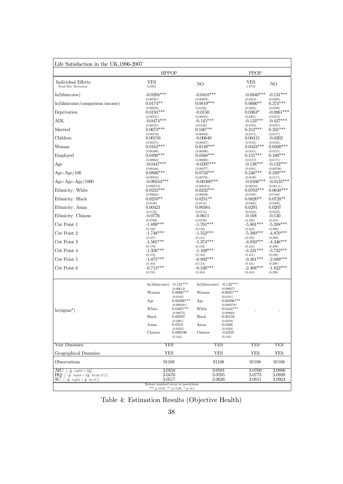| Life Satisfaction in the UK, 1996-2007                                                                                                                |                                                 |                                      |                            |                                      |                           |                          |
|-------------------------------------------------------------------------------------------------------------------------------------------------------|-------------------------------------------------|--------------------------------------|----------------------------|--------------------------------------|---------------------------|--------------------------|
|                                                                                                                                                       | <b>HPPOP</b><br><b>PPOP</b>                     |                                      |                            |                                      |                           |                          |
| Individual Effects<br>Total Std. Deviation                                                                                                            | YES<br>0.3501                                   |                                      | NO                         |                                      | YES<br>1.0716             | NO.                      |
| ln(hhincome)                                                                                                                                          | $-0.0294***$                                    |                                      | $-0.0418***$               |                                      | $-0.0840***$              | $-0.131***$              |
| $ln(hhinoome/comparison\ income)$                                                                                                                     | (0.00767)<br>$0.0174**$                         |                                      | (0.00979)<br>$0.0819***$   |                                      | (0.0219)<br>$0.0600**$    | (0.0289)<br>$0.274***$   |
| Deprivation                                                                                                                                           | (0.00876)<br>$0.0191***$                        |                                      | (0.0126)<br>$-0.0150$      |                                      | (0.0256)<br>$0.0363*$     | (0.0349)<br>$-0.0861***$ |
| ADL                                                                                                                                                   | (0.00741)<br>$-0.0474***$                       |                                      | (0.00925)<br>$-0.145***$   |                                      | (0.0201)<br>$-0.133***$   | (0.0272)<br>$-0.427***$  |
| Married                                                                                                                                               | (0.00731)<br>$0.0672***$                        |                                      | (0.0130)<br>$0.106***$     |                                      | (0.0195)<br>$0.212***$    | (0.0257)<br>$0.331***$   |
| Children                                                                                                                                              | (0.00710)<br>0.00159                            |                                      | (0.00893)<br>$-0.00640$    |                                      | (0.0171)<br>0.00415       | (0.0177)<br>$-0.0202$    |
| Woman                                                                                                                                                 | (0.00475)<br>$0.0162***$                        |                                      | (0.00527)<br>$0.0149***$   |                                      | (0.0145)<br>$0.0423***$   | (0.0164)<br>$0.0400***$  |
| Employed                                                                                                                                              | (0.00498)<br>$0.0490***$                        |                                      | (0.00490)<br>$0.0568***$   |                                      | (0.0151)<br>$0.151***$    | (0.0151)<br>$0.180***$   |
| Age                                                                                                                                                   | (0.00663)<br>$-0.0447***$                       |                                      | (0.00690)<br>$-0.0397***$  |                                      | (0.0172)<br>$-0.138***$   | (0.0171)<br>$-0.132***$  |
| $Age \times Age/100$                                                                                                                                  | (0.00446)<br>$0.0806***$                        |                                      | (0.00377)<br>$0.0733***$   |                                      | (0.0101)<br>$0.246***$    | (0.00798)<br>$0.249***$  |
| $Age \times Age \times Age / 1000$                                                                                                                    | (0.00853)<br>$-0.00544***$                      |                                      | (0.00756)<br>$-0.00380***$ |                                      | (0.0199)<br>$-0.0166$ *** | (0.0171)<br>$-0.0135***$ |
| Ethnicity: White                                                                                                                                      | (0.000573)<br>$0.0235***$                       |                                      | (0.000454)<br>$0.0232***$  |                                      | (0.00133)<br>$0.0703***$  | (0.00111)<br>$0.0648***$ |
| Ethnicity: Black                                                                                                                                      | (0.00642)<br>$0.0258**$                         |                                      | $0.0251**$                 | (0.00629)                            |                           | (0.0186)<br>$0.0728**$   |
| Ethnicity: Asian                                                                                                                                      | (0.0120)<br>0.00421                             |                                      | (0.0118)<br>0.00384        |                                      | (0.0362)<br>0.0291        | (0.0360)<br>0.0207       |
| Ethnicity: Chinese                                                                                                                                    | (0.0176)<br>$-0.0776$                           |                                      | (0.0174)<br>$-0.0611$      |                                      | (0.0523)<br>-0.168        | (0.0522)<br>-0.130       |
| Cut Point 1                                                                                                                                           | (0.0769)<br>$-1.899***$                         |                                      | (0.0739)<br>$-1.701***$    |                                      | (0.222)<br>$-5.801***$    | (0.218)<br>$-5.288***$   |
| Cut Point 2                                                                                                                                           | (0.193)<br>$-1.748***$                          |                                      | (0.148)<br>$-1.552***$     |                                      | (0.452)<br>$-5.380***$    | (0.299)<br>$-4.870***$   |
| Cut Point 3                                                                                                                                           | (0.187)<br>$-1.565***$                          |                                      | (0.141)<br>$-1.374***$     |                                      | (0.452)<br>$-4.850***$    | (0.299)<br>$-4.346***$   |
| Cut Point 4                                                                                                                                           | (0.179)<br>$-1.356***$                          |                                      | (0.133)<br>$-1.169***$     |                                      | (0.451)<br>$-4.231***$    | (0.298)<br>$-3.732***$   |
| Cut Point 5                                                                                                                                           | (0.172)<br>$-1.075***$                          |                                      | (0.124)<br>$-0.892***$     |                                      | (0.451)<br>$-3.381***$    | (0.298)<br>$-2.889***$   |
| Cut Point 6                                                                                                                                           | (0.163)<br>$-0.713***$                          |                                      | (0.114)<br>$-0.536***$     |                                      | (0.451)<br>$-2.308***$    | (0.298)<br>$-1.822***$   |
|                                                                                                                                                       | (0.155)                                         |                                      | (0.104)                    |                                      | (0.451)                   | (0.298)                  |
|                                                                                                                                                       | ln(hhincome)                                    | $-0.131***$                          | $ln(hhincome)$ -0.132***   |                                      |                           |                          |
|                                                                                                                                                       | Woman                                           | (0.00613)<br>$0.0666***$<br>(0.0102) | Woman                      | (0.00607)<br>$0.0685***$<br>(0.0101) |                           |                          |
|                                                                                                                                                       | Age                                             | $0.00396***$<br>(0.000281)           | Age                        | $0.00396***$<br>(0.000279)           |                           |                          |
| $ln(sigma^*)$                                                                                                                                         | White                                           | $0.0485***$<br>(0.00873)             | White                      | $0.0416***$<br>(0.00860)             |                           |                          |
|                                                                                                                                                       | Black                                           | 0.00297<br>(0.0261)                  | Black                      | 0.00158<br>(0.0259)                  |                           |                          |
|                                                                                                                                                       | Asian                                           | 0.0518<br>(0.0422)                   | Asian                      | 0.0499<br>(0.0428)                   |                           |                          |
|                                                                                                                                                       | Chinese                                         | 0.000190<br>(0.184)                  | Chinese                    | $-0.0250$<br>(0.182)                 |                           |                          |
| Year Dummies                                                                                                                                          | YES                                             |                                      | YES                        |                                      | YES                       | YES                      |
| Geographical Dummies                                                                                                                                  |                                                 | YES                                  | YES                        |                                      | YES                       | YES                      |
| Observations                                                                                                                                          |                                                 | 91108                                | 91108                      |                                      | 91108                     | 91108                    |
| AIC: $\left[-\frac{2}{N}\cdot loglik+2\frac{k}{N}\right]$                                                                                             |                                                 | 3.0458<br>3.0476                     | 3.0581<br>3.0595           |                                      | 3.0760<br>3.0775          | 3.0886<br>3.0898         |
| HQ: $\left[-\frac{2}{N} \cdot loglik + 2\frac{k}{N} \cdot ln(ln(N))\right]$<br>SC: $\left[-\frac{2}{N} \cdot loglik + \frac{k}{N} \cdot ln(N)\right]$ | 3.0517<br>Robust standard errors in parentheses |                                      |                            | 3.0626                               | 3.0811                    | 3.0924                   |
|                                                                                                                                                       |                                                 | *** p<0.01, ** p<0.05, * p<0.1       |                            |                                      |                           |                          |

Table 4: Estimation Results (Objective Health)